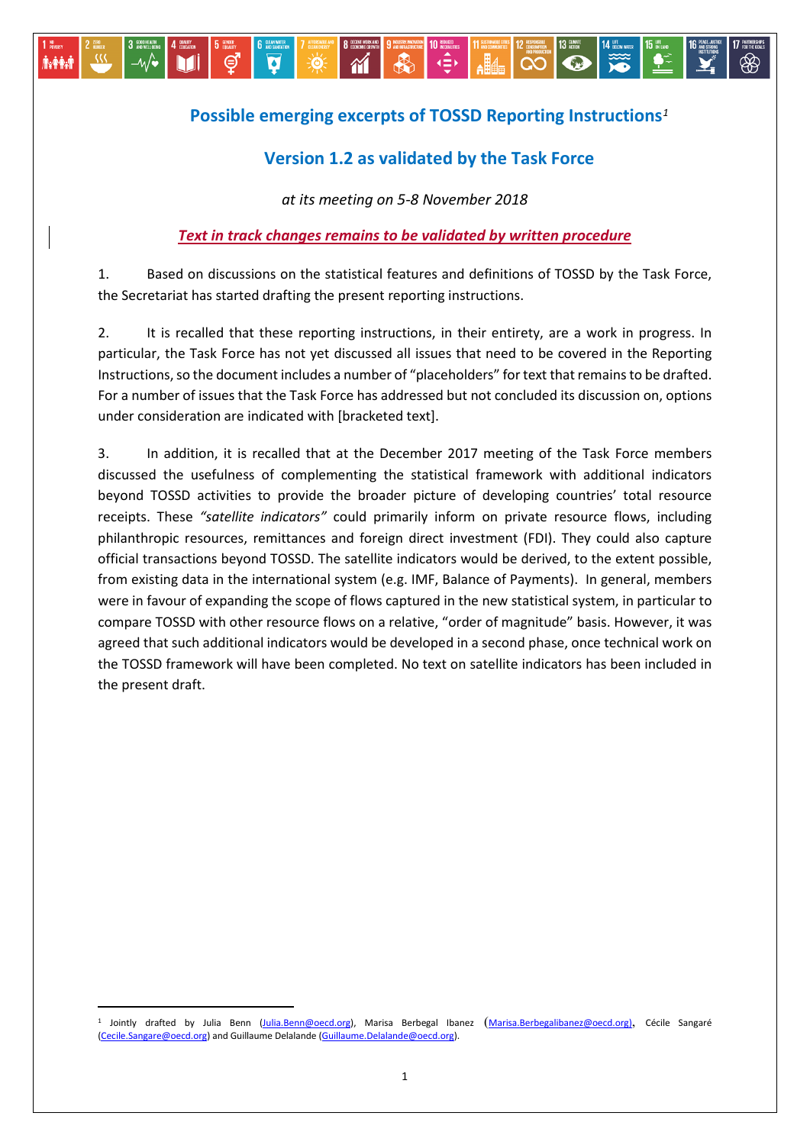## **Possible emerging excerpts of TOSSD Reporting Instructions***[1](#page-0-0)*

∢≘∢

 $\bullet$ 

## **Version 1.2 as validated by the Task Force**

*at its meeting on 5-8 November 2018*

-∿⁄∙

**Axpain** 

⊜

PÓ.

Ø

## *Text in track changes remains to be validated by written procedure*

1. Based on discussions on the statistical features and definitions of TOSSD by the Task Force, the Secretariat has started drafting the present reporting instructions.

2. It is recalled that these reporting instructions, in their entirety, are a work in progress. In particular, the Task Force has not yet discussed all issues that need to be covered in the Reporting Instructions, so the document includes a number of "placeholders" for text that remains to be drafted. For a number of issues that the Task Force has addressed but not concluded its discussion on, options under consideration are indicated with [bracketed text].

3. In addition, it is recalled that at the December 2017 meeting of the Task Force members discussed the usefulness of complementing the statistical framework with additional indicators beyond TOSSD activities to provide the broader picture of developing countries' total resource receipts. These *"satellite indicators"* could primarily inform on private resource flows, including philanthropic resources, remittances and foreign direct investment (FDI). They could also capture official transactions beyond TOSSD. The satellite indicators would be derived, to the extent possible, from existing data in the international system (e.g. IMF, Balance of Payments). In general, members were in favour of expanding the scope of flows captured in the new statistical system, in particular to compare TOSSD with other resource flows on a relative, "order of magnitude" basis. However, it was agreed that such additional indicators would be developed in a second phase, once technical work on the TOSSD framework will have been completed. No text on satellite indicators has been included in the present draft.

<span id="page-0-0"></span> <sup>1</sup> Jointly drafted by Julia Benn [\(Julia.Benn@oecd.org\)](mailto:Julia.Benn@oecd.org), Marisa Berbegal Ibanez ([Marisa.Berbegalibanez@oecd.org\)](mailto:Marisa.Berbegalibanez@oecd.org), Cécile Sangaré [\(Cecile.Sangare@oecd.org\)](mailto:Cecile.Sangare@oecd.org) and Guillaume Delalande [\(Guillaume.Delalande@oecd.org\)](mailto:Guillaume.Delalande@oecd.org).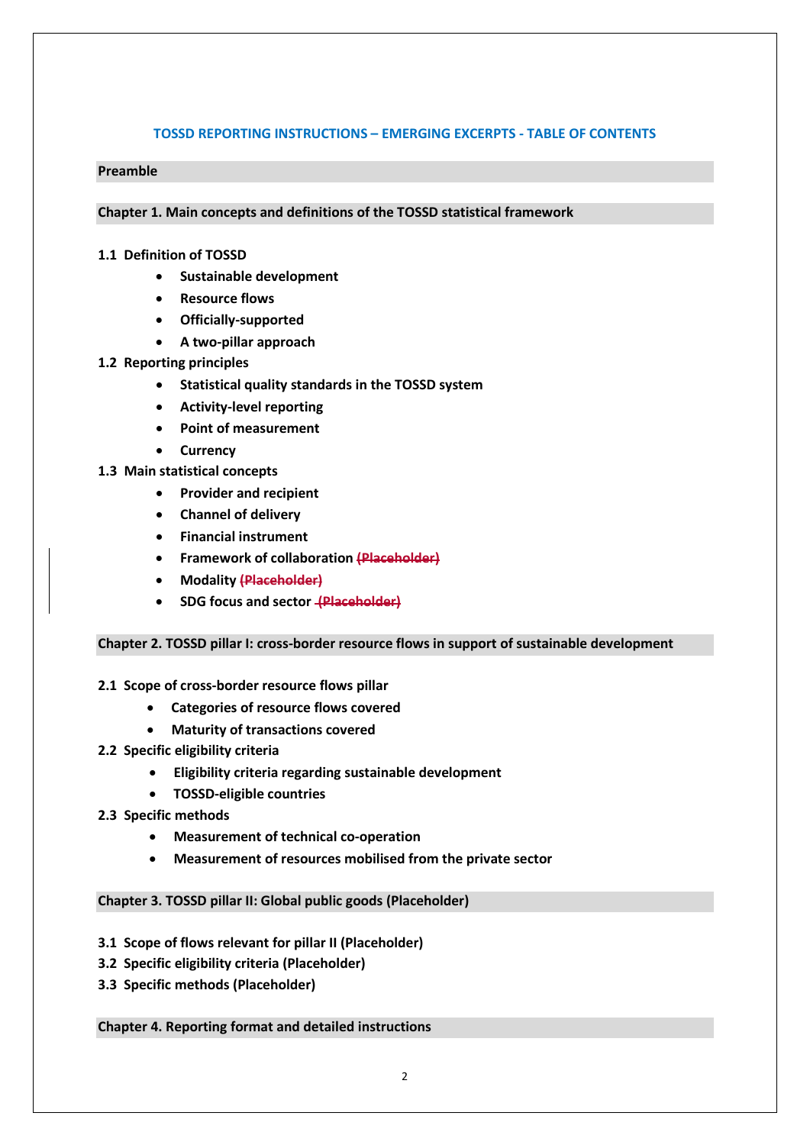#### **TOSSD REPORTING INSTRUCTIONS – EMERGING EXCERPTS - TABLE OF CONTENTS**

#### **Preamble**

**Chapter 1. Main concepts and definitions of the TOSSD statistical framework** 

#### **1.1 Definition of TOSSD**

- **Sustainable development**
- **Resource flows**
- **Officially-supported**
- **A two-pillar approach**

#### **1.2 Reporting principles**

- **Statistical quality standards in the TOSSD system**
- **Activity-level reporting**
- **Point of measurement**
- **Currency**
- **1.3 Main statistical concepts** 
	- **Provider and recipient**
	- **Channel of delivery**
	- **Financial instrument**
	- **Framework of collaboration (Placeholder)**
	- **Modality (Placeholder)**
	- **SDG focus and sector (Placeholder)**

#### **Chapter 2. TOSSD pillar I: cross-border resource flows in support of sustainable development**

#### **2.1 Scope of cross-border resource flows pillar**

- **Categories of resource flows covered**
- **Maturity of transactions covered**
- **2.2 Specific eligibility criteria** 
	- **Eligibility criteria regarding sustainable development**
	- **TOSSD-eligible countries**
- **2.3 Specific methods**
	- **Measurement of technical co-operation**
	- **Measurement of resources mobilised from the private sector**

#### **Chapter 3. TOSSD pillar II: Global public goods (Placeholder)**

- **3.1 Scope of flows relevant for pillar II (Placeholder)**
- **3.2 Specific eligibility criteria (Placeholder)**
- **3.3 Specific methods (Placeholder)**

#### **Chapter 4. Reporting format and detailed instructions**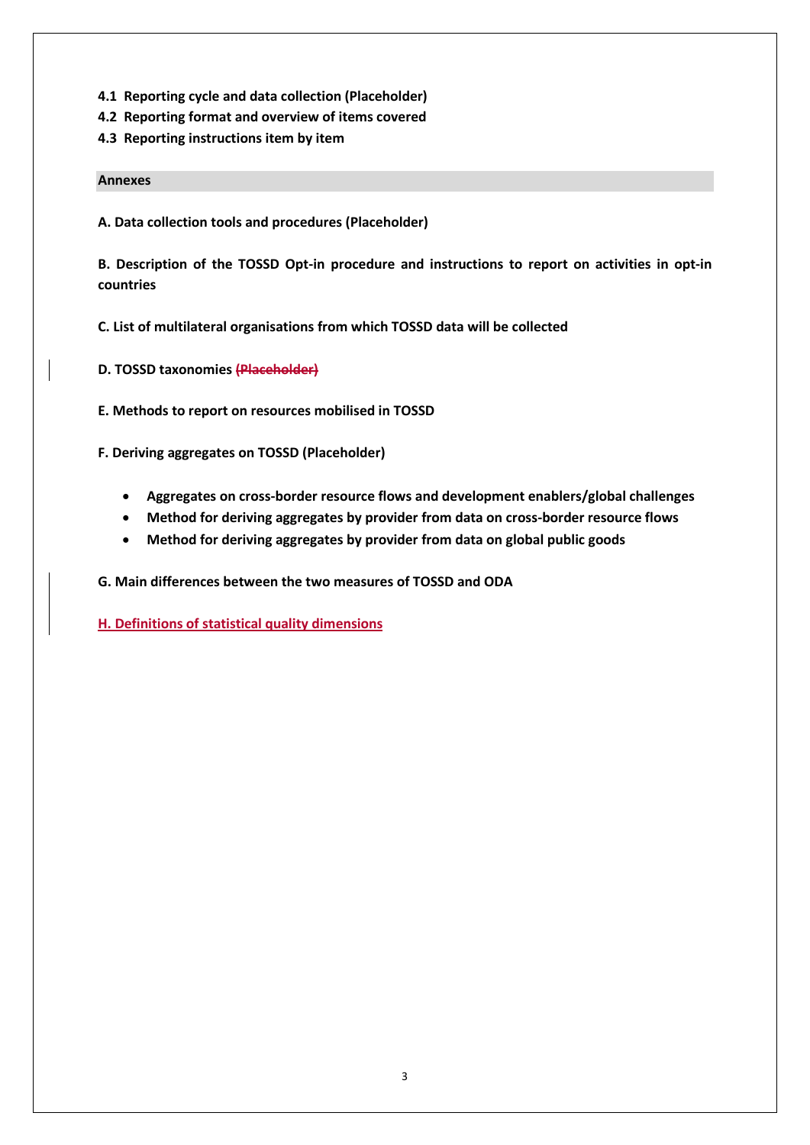- **4.1 Reporting cycle and data collection (Placeholder)**
- **4.2 Reporting format and overview of items covered**
- **4.3 Reporting instructions item by item**

#### **Annexes**

**A. Data collection tools and procedures (Placeholder)**

**B. Description of the TOSSD Opt-in procedure and instructions to report on activities in opt-in countries** 

- **C. List of multilateral organisations from which TOSSD data will be collected**
- **D. TOSSD taxonomies (Placeholder)**
- **E. Methods to report on resources mobilised in TOSSD**

**F. Deriving aggregates on TOSSD (Placeholder)**

- **Aggregates on cross-border resource flows and development enablers/global challenges**
- **Method for deriving aggregates by provider from data on cross-border resource flows**
- **Method for deriving aggregates by provider from data on global public goods**

**G. Main differences between the two measures of TOSSD and ODA** 

**H. Definitions of statistical quality dimensions**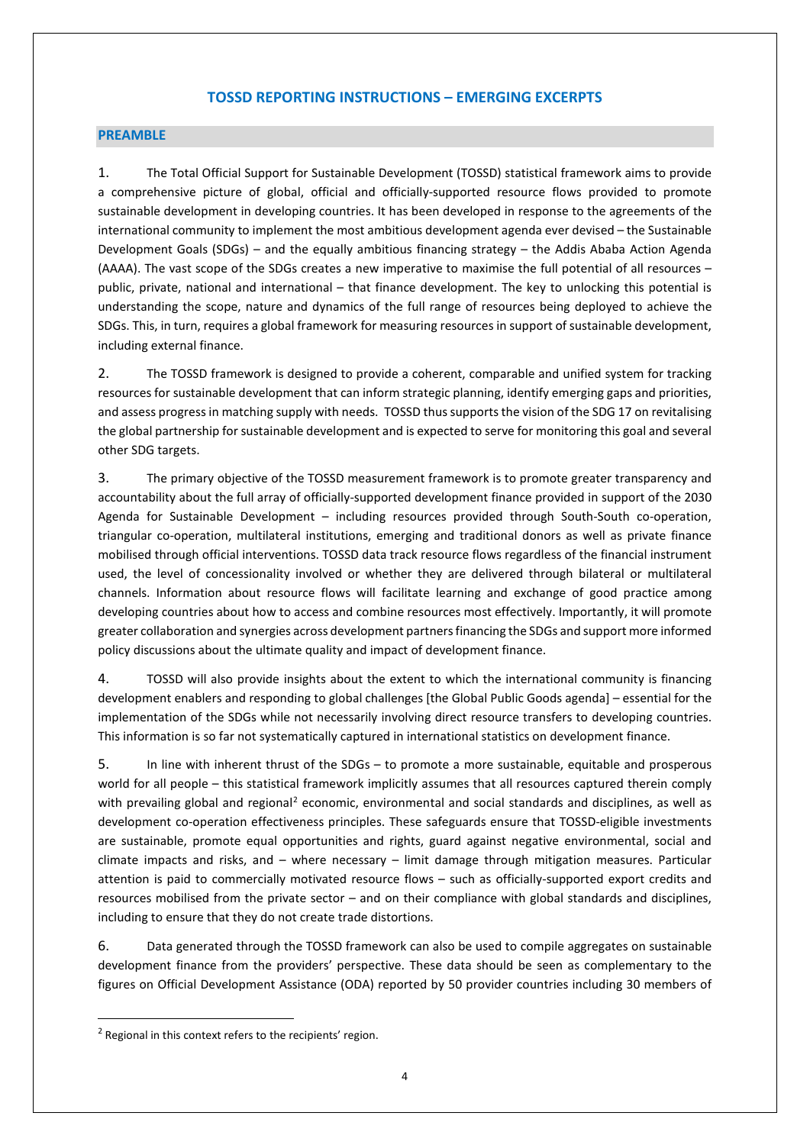#### **TOSSD REPORTING INSTRUCTIONS – EMERGING EXCERPTS**

#### **PREAMBLE**

1. The Total Official Support for Sustainable Development (TOSSD) statistical framework aims to provide a comprehensive picture of global, official and officially-supported resource flows provided to promote sustainable development in developing countries. It has been developed in response to the agreements of the international community to implement the most ambitious development agenda ever devised – the Sustainable Development Goals (SDGs) – and the equally ambitious financing strategy – the Addis Ababa Action Agenda (AAAA). The vast scope of the SDGs creates a new imperative to maximise the full potential of all resources – public, private, national and international – that finance development. The key to unlocking this potential is understanding the scope, nature and dynamics of the full range of resources being deployed to achieve the SDGs. This, in turn, requires a global framework for measuring resources in support of sustainable development, including external finance.

2. The TOSSD framework is designed to provide a coherent, comparable and unified system for tracking resources for sustainable development that can inform strategic planning, identify emerging gaps and priorities, and assess progress in matching supply with needs. TOSSD thus supportsthe vision of the SDG 17 on revitalising the global partnership for sustainable development and is expected to serve for monitoring this goal and several other SDG targets.

3. The primary objective of the TOSSD measurement framework is to promote greater transparency and accountability about the full array of officially-supported development finance provided in support of the 2030 Agenda for Sustainable Development – including resources provided through South-South co-operation, triangular co-operation, multilateral institutions, emerging and traditional donors as well as private finance mobilised through official interventions. TOSSD data track resource flows regardless of the financial instrument used, the level of concessionality involved or whether they are delivered through bilateral or multilateral channels. Information about resource flows will facilitate learning and exchange of good practice among developing countries about how to access and combine resources most effectively. Importantly, it will promote greater collaboration and synergies across development partners financing the SDGs and support more informed policy discussions about the ultimate quality and impact of development finance.

4. TOSSD will also provide insights about the extent to which the international community is financing development enablers and responding to global challenges [the Global Public Goods agenda] – essential for the implementation of the SDGs while not necessarily involving direct resource transfers to developing countries. This information is so far not systematically captured in international statistics on development finance.

5. In line with inherent thrust of the SDGs – to promote a more sustainable, equitable and prosperous world for all people – this statistical framework implicitly assumes that all resources captured therein comply with prevailing global and regional<sup>[2](#page-3-0)</sup> economic, environmental and social standards and disciplines, as well as development co-operation effectiveness principles. These safeguards ensure that TOSSD-eligible investments are sustainable, promote equal opportunities and rights, guard against negative environmental, social and climate impacts and risks, and – where necessary – limit damage through mitigation measures. Particular attention is paid to commercially motivated resource flows – such as officially-supported export credits and resources mobilised from the private sector – and on their compliance with global standards and disciplines, including to ensure that they do not create trade distortions.

6. Data generated through the TOSSD framework can also be used to compile aggregates on sustainable development finance from the providers' perspective. These data should be seen as complementary to the figures on Official Development Assistance (ODA) reported by 50 provider countries including 30 members of

<span id="page-3-0"></span><sup>&</sup>lt;sup>2</sup> Regional in this context refers to the recipients' region.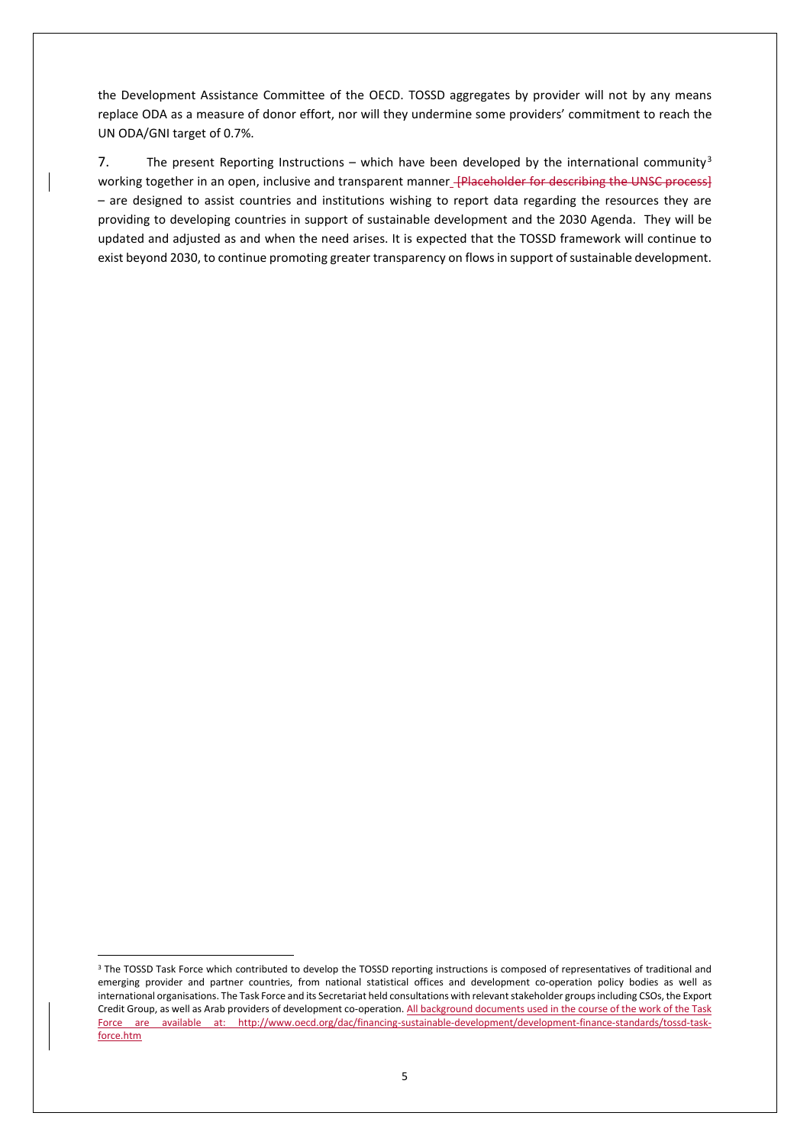the Development Assistance Committee of the OECD. TOSSD aggregates by provider will not by any means replace ODA as a measure of donor effort, nor will they undermine some providers' commitment to reach the UN ODA/GNI target of 0.7%.

7. The present Reporting Instructions – which have been developed by the international community<sup>[3](#page-4-0)</sup> working together in an open, inclusive and transparent manner *[Placeholder for describing the UNSC process]* – are designed to assist countries and institutions wishing to report data regarding the resources they are providing to developing countries in support of sustainable development and the 2030 Agenda. They will be updated and adjusted as and when the need arises. It is expected that the TOSSD framework will continue to exist beyond 2030, to continue promoting greater transparency on flows in support of sustainable development.

<span id="page-4-0"></span><sup>&</sup>lt;sup>3</sup> The TOSSD Task Force which contributed to develop the TOSSD reporting instructions is composed of representatives of traditional and emerging provider and partner countries, from national statistical offices and development co-operation policy bodies as well as international organisations. The Task Force and its Secretariat held consultations with relevant stakeholder groups including CSOs, the Export Credit Group, as well as Arab providers of development co-operation. All background documents used in the course of the work of the Task Force are available at: http://www.oecd.org/dac/financing-sustainable-development/development-finance-standards/tossd-taskforce.htm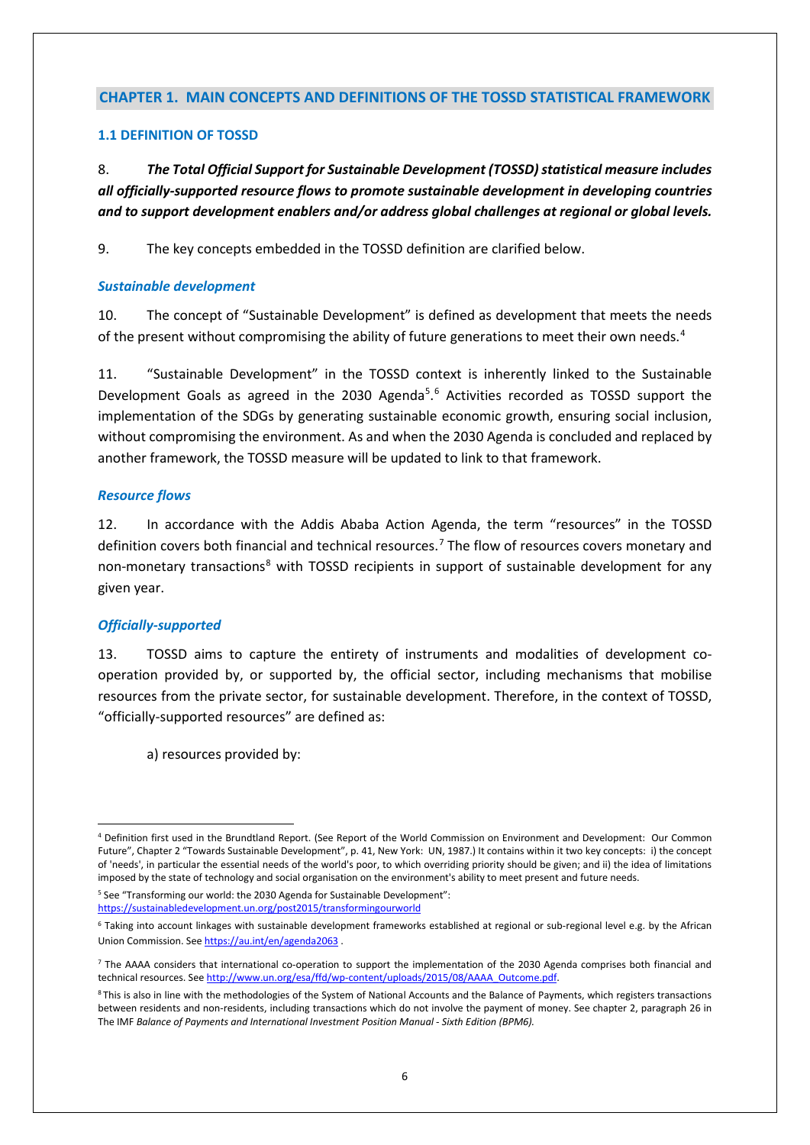#### **CHAPTER 1. MAIN CONCEPTS AND DEFINITIONS OF THE TOSSD STATISTICAL FRAMEWORK**

#### **1.1 DEFINITION OF TOSSD**

8. *The Total Official Support for Sustainable Development (TOSSD) statistical measure includes all officially-supported resource flows to promote sustainable development in developing countries and to support development enablers and/or address global challenges at regional or global levels.* 

9. The key concepts embedded in the TOSSD definition are clarified below.

#### *Sustainable development*

10. The concept of "Sustainable Development" is defined as development that meets the needs of the present without compromising the ability of future generations to meet their own needs.<sup>[4](#page-5-0)</sup>

11. "Sustainable Development" in the TOSSD context is inherently linked to the Sustainable Development Goals as agreed in the 2030 Agenda<sup>[5](#page-5-1)</sup>.<sup>[6](#page-5-2)</sup> Activities recorded as TOSSD support the implementation of the SDGs by generating sustainable economic growth, ensuring social inclusion, without compromising the environment. As and when the 2030 Agenda is concluded and replaced by another framework, the TOSSD measure will be updated to link to that framework.

#### *Resource flows*

12. In accordance with the Addis Ababa Action Agenda, the term "resources" in the TOSSD definition covers both financial and technical resources.<sup>[7](#page-5-3)</sup> The flow of resources covers monetary and non-monetary transactions<sup>[8](#page-5-4)</sup> with TOSSD recipients in support of sustainable development for any given year.

#### *Officially-supported*

13. TOSSD aims to capture the entirety of instruments and modalities of development cooperation provided by, or supported by, the official sector, including mechanisms that mobilise resources from the private sector, for sustainable development. Therefore, in the context of TOSSD, "officially-supported resources" are defined as:

a) resources provided by:

<span id="page-5-1"></span><sup>5</sup> See "Transforming our world: the 2030 Agenda for Sustainable Development": <https://sustainabledevelopment.un.org/post2015/transformingourworld>

<span id="page-5-0"></span> <sup>4</sup> Definition first used in the Brundtland Report. (See Report of the World Commission on Environment and Development: Our Common Future", Chapter 2 "Towards Sustainable Development", p. 41, New York: UN, 1987.) It contains within it two key concepts: i) the concept of 'needs', in particular the essential needs of the world's poor, to which overriding priority should be given; and ii) the idea of limitations imposed by the state of technology and social organisation on the environment's ability to meet present and future needs.

<span id="page-5-2"></span><sup>6</sup> Taking into account linkages with sustainable development frameworks established at regional or sub-regional level e.g. by the African Union Commission. Se[e https://au.int/en/agenda2063](https://au.int/en/agenda2063) .

<span id="page-5-3"></span><sup>&</sup>lt;sup>7</sup> The AAAA considers that international co-operation to support the implementation of the 2030 Agenda comprises both financial and technical resources. Se[e http://www.un.org/esa/ffd/wp-content/uploads/2015/08/AAAA\\_Outcome.pdf.](http://www.un.org/esa/ffd/wp-content/uploads/2015/08/AAAA_Outcome.pdf)

<span id="page-5-4"></span><sup>&</sup>lt;sup>8</sup> This is also in line with the methodologies of the System of National Accounts and the Balance of Payments, which registers transactions between residents and non-residents, including transactions which do not involve the payment of money. See chapter 2, paragraph 26 in The IMF *Balance of Payments and International Investment Position Manual - Sixth Edition (BPM6).*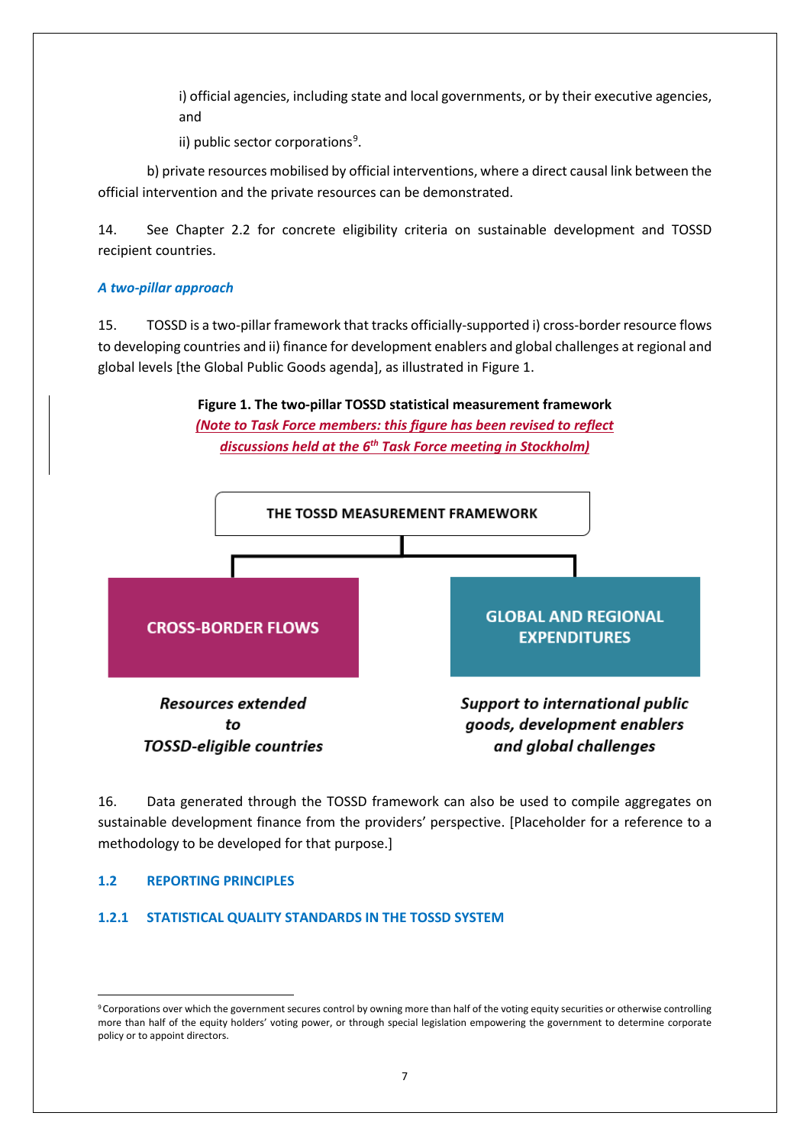i) official agencies, including state and local governments, or by their executive agencies, and

ii) public sector corporations<sup>[9](#page-6-0)</sup>.

b) private resources mobilised by official interventions, where a direct causal link between the official intervention and the private resources can be demonstrated.

14. See Chapter 2.2 for concrete eligibility criteria on sustainable development and TOSSD recipient countries.

## *A two-pillar approach*

15. TOSSD is a two-pillar framework that tracks officially-supported i) cross-border resource flows to developing countries and ii) finance for development enablers and global challenges at regional and global levels [the Global Public Goods agenda], as illustrated in Figure 1.





16. Data generated through the TOSSD framework can also be used to compile aggregates on sustainable development finance from the providers' perspective. [Placeholder for a reference to a methodology to be developed for that purpose.]

#### **1.2 REPORTING PRINCIPLES**

#### **1.2.1 STATISTICAL QUALITY STANDARDS IN THE TOSSD SYSTEM**

<span id="page-6-0"></span><sup>&</sup>lt;sup>9</sup> Corporations over which the government secures control by owning more than half of the voting equity securities or otherwise controlling more than half of the equity holders' voting power, or through special legislation empowering the government to determine corporate policy or to appoint directors.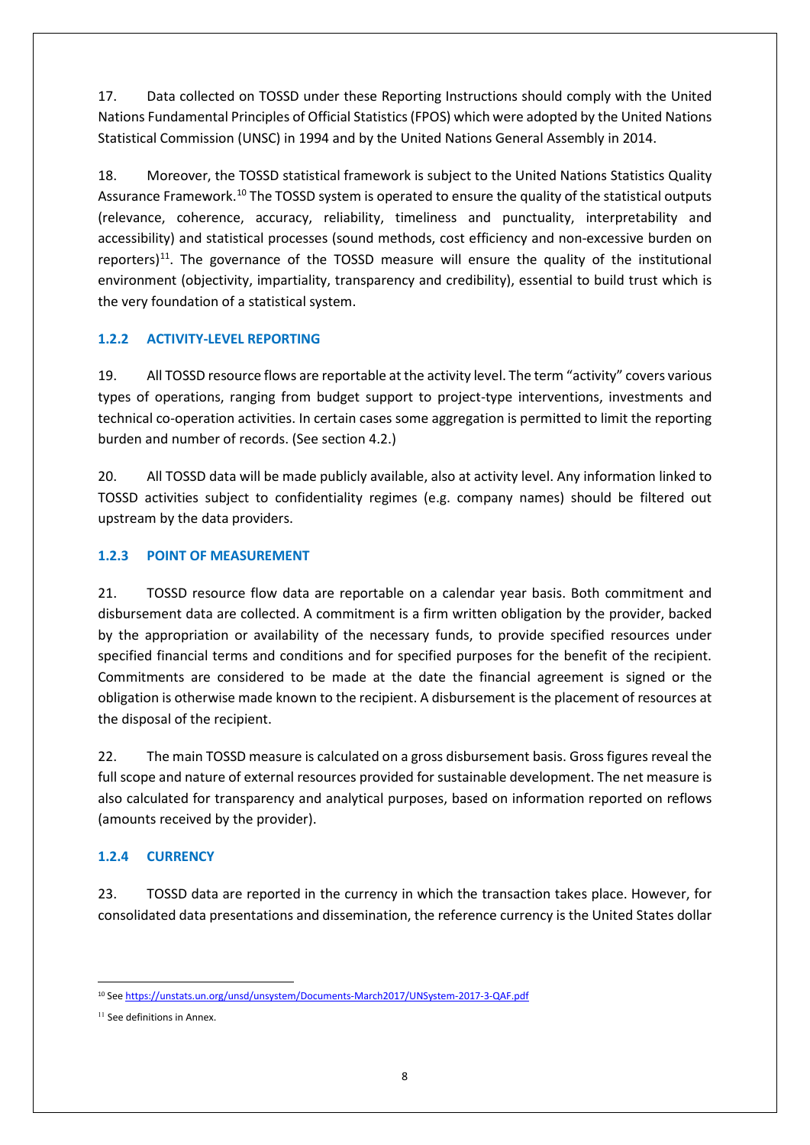17. Data collected on TOSSD under these Reporting Instructions should comply with the United Nations Fundamental Principles of Official Statistics (FPOS) which were adopted by the United Nations Statistical Commission (UNSC) in 1994 and by the United Nations General Assembly in 2014.

18. Moreover, the TOSSD statistical framework is subject to the United Nations Statistics Quality Assurance Framework.[10](#page-7-0) The TOSSD system is operated to ensure the quality of the statistical outputs (relevance, coherence, accuracy, reliability, timeliness and punctuality, interpretability and accessibility) and statistical processes (sound methods, cost efficiency and non-excessive burden on reporters)<sup>11</sup>. The governance of the TOSSD measure will ensure the quality of the institutional environment (objectivity, impartiality, transparency and credibility), essential to build trust which is the very foundation of a statistical system.

## **1.2.2 ACTIVITY-LEVEL REPORTING**

19. All TOSSD resource flows are reportable at the activity level. The term "activity" covers various types of operations, ranging from budget support to project-type interventions, investments and technical co-operation activities. In certain cases some aggregation is permitted to limit the reporting burden and number of records. (See section 4.2.)

20. All TOSSD data will be made publicly available, also at activity level. Any information linked to TOSSD activities subject to confidentiality regimes (e.g. company names) should be filtered out upstream by the data providers.

## **1.2.3 POINT OF MEASUREMENT**

21. TOSSD resource flow data are reportable on a calendar year basis. Both commitment and disbursement data are collected. A commitment is a firm written obligation by the provider, backed by the appropriation or availability of the necessary funds, to provide specified resources under specified financial terms and conditions and for specified purposes for the benefit of the recipient. Commitments are considered to be made at the date the financial agreement is signed or the obligation is otherwise made known to the recipient. A disbursement is the placement of resources at the disposal of the recipient.

22. The main TOSSD measure is calculated on a gross disbursement basis. Gross figures reveal the full scope and nature of external resources provided for sustainable development. The net measure is also calculated for transparency and analytical purposes, based on information reported on reflows (amounts received by the provider).

## **1.2.4 CURRENCY**

23. TOSSD data are reported in the currency in which the transaction takes place. However, for consolidated data presentations and dissemination, the reference currency is the United States dollar

<span id="page-7-0"></span> <sup>10</sup> Se[e https://unstats.un.org/unsd/unsystem/Documents-March2017/UNSystem-2017-3-QAF.pdf](https://unstats.un.org/unsd/unsystem/Documents-March2017/UNSystem-2017-3-QAF.pdf)

<span id="page-7-1"></span><sup>&</sup>lt;sup>11</sup> See definitions in Annex.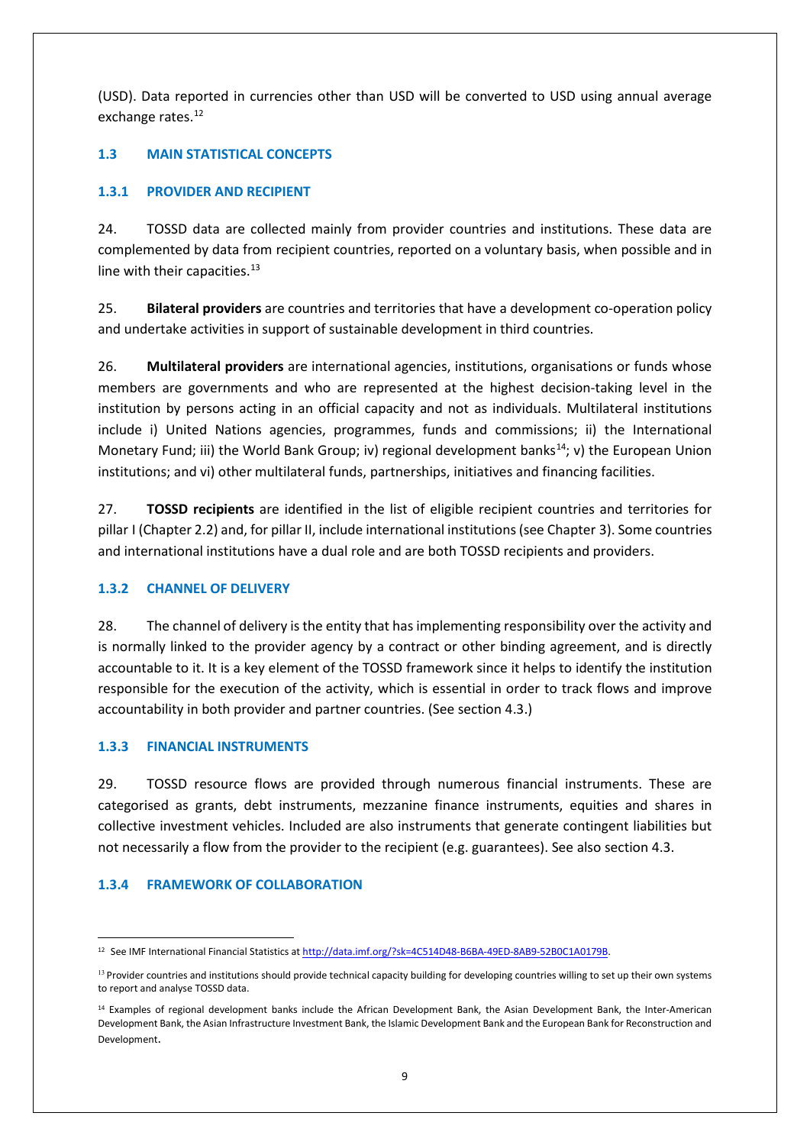(USD). Data reported in currencies other than USD will be converted to USD using annual average exchange rates.<sup>[12](#page-8-0)</sup>

## **1.3 MAIN STATISTICAL CONCEPTS**

## **1.3.1 PROVIDER AND RECIPIENT**

24. TOSSD data are collected mainly from provider countries and institutions. These data are complemented by data from recipient countries, reported on a voluntary basis, when possible and in line with their capacities. $13$ 

25. **Bilateral providers** are countries and territories that have a development co-operation policy and undertake activities in support of sustainable development in third countries.

26. **Multilateral providers** are international agencies, institutions, organisations or funds whose members are governments and who are represented at the highest decision-taking level in the institution by persons acting in an official capacity and not as individuals. Multilateral institutions include i) United Nations agencies, programmes, funds and commissions; ii) the International Monetary Fund; iii) the World Bank Group; iv) regional development banks<sup>[14](#page-8-2)</sup>; v) the European Union institutions; and vi) other multilateral funds, partnerships, initiatives and financing facilities.

27. **TOSSD recipients** are identified in the list of eligible recipient countries and territories for pillar I (Chapter 2.2) and, for pillar II, include international institutions (see Chapter 3). Some countries and international institutions have a dual role and are both TOSSD recipients and providers.

#### **1.3.2 CHANNEL OF DELIVERY**

28. The channel of delivery is the entity that has implementing responsibility over the activity and is normally linked to the provider agency by a contract or other binding agreement, and is directly accountable to it. It is a key element of the TOSSD framework since it helps to identify the institution responsible for the execution of the activity, which is essential in order to track flows and improve accountability in both provider and partner countries. (See section 4.3.)

#### **1.3.3 FINANCIAL INSTRUMENTS**

29. TOSSD resource flows are provided through numerous financial instruments. These are categorised as grants, debt instruments, mezzanine finance instruments, equities and shares in collective investment vehicles. Included are also instruments that generate contingent liabilities but not necessarily a flow from the provider to the recipient (e.g. guarantees). See also section 4.3.

## **1.3.4 FRAMEWORK OF COLLABORATION**

<span id="page-8-0"></span> <sup>12</sup> See IMF International Financial Statistics a[t http://data.imf.org/?sk=4C514D48-B6BA-49ED-8AB9-52B0C1A0179B.](http://data.imf.org/?sk=4C514D48-B6BA-49ED-8AB9-52B0C1A0179B)

<span id="page-8-1"></span><sup>&</sup>lt;sup>13</sup> Provider countries and institutions should provide technical capacity building for developing countries willing to set up their own systems to report and analyse TOSSD data.

<span id="page-8-2"></span><sup>14</sup> Examples of regional development banks include the African Development Bank, the Asian Development Bank, the Inter-American Development Bank, the Asian Infrastructure Investment Bank, the Islamic Development Bank and the European Bank for Reconstruction and Development.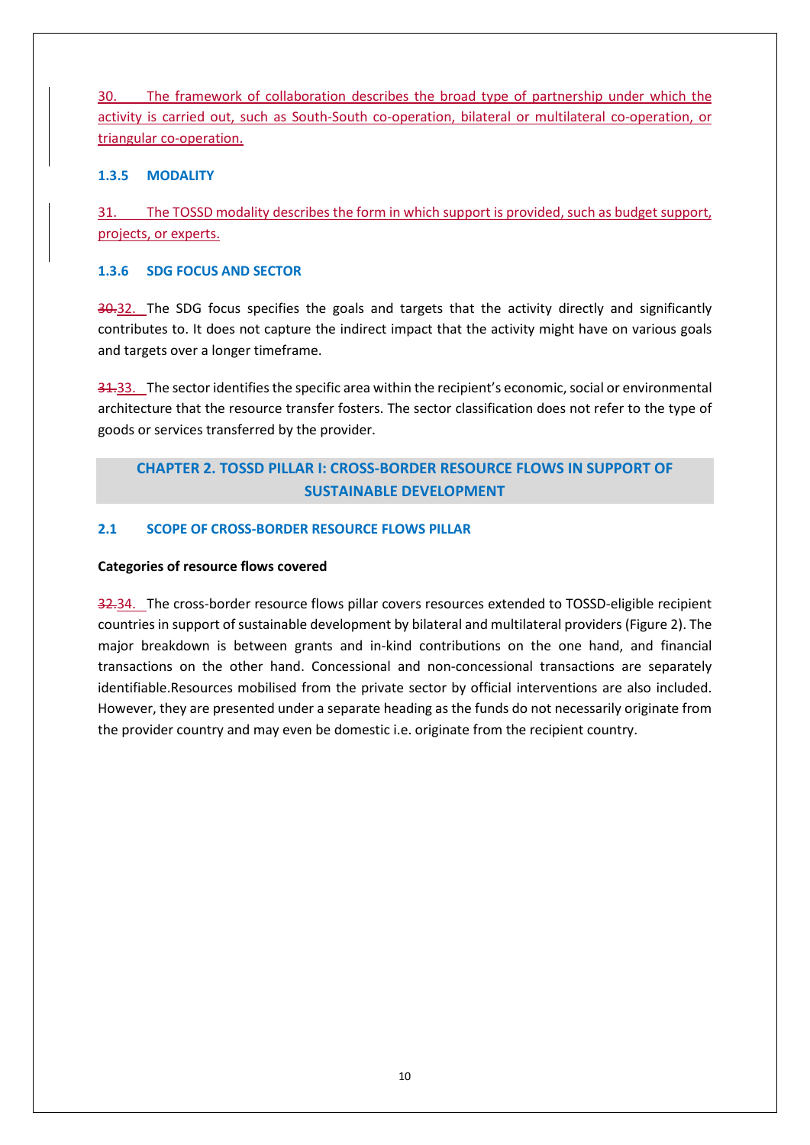30. The framework of collaboration describes the broad type of partnership under which the activity is carried out, such as South-South co-operation, bilateral or multilateral co-operation, or triangular co-operation.

#### **1.3.5 MODALITY**

31. The TOSSD modality describes the form in which support is provided, such as budget support, projects, or experts.

#### **1.3.6 SDG FOCUS AND SECTOR**

30.32. The SDG focus specifies the goals and targets that the activity directly and significantly contributes to. It does not capture the indirect impact that the activity might have on various goals and targets over a longer timeframe.

31.33. The sector identifies the specific area within the recipient's economic, social or environmental architecture that the resource transfer fosters. The sector classification does not refer to the type of goods or services transferred by the provider.

## **CHAPTER 2. TOSSD PILLAR I: CROSS-BORDER RESOURCE FLOWS IN SUPPORT OF SUSTAINABLE DEVELOPMENT**

#### **2.1 SCOPE OF CROSS-BORDER RESOURCE FLOWS PILLAR**

#### **Categories of resource flows covered**

32.34. The cross-border resource flows pillar covers resources extended to TOSSD-eligible recipient countries in support of sustainable development by bilateral and multilateral providers (Figure 2). The major breakdown is between grants and in-kind contributions on the one hand, and financial transactions on the other hand. Concessional and non-concessional transactions are separately identifiable.Resources mobilised from the private sector by official interventions are also included. However, they are presented under a separate heading as the funds do not necessarily originate from the provider country and may even be domestic i.e. originate from the recipient country.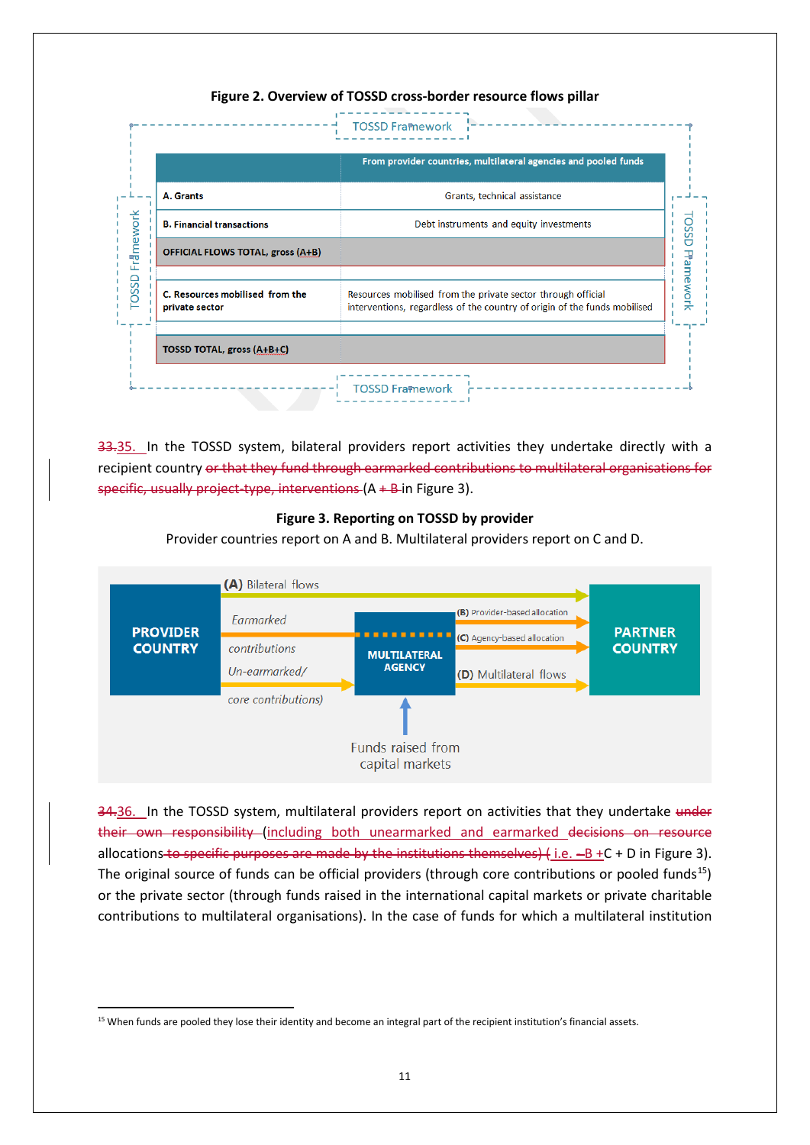## **Figure 2. Overview of TOSSD cross-border resource flows pillar**

|                                                   | From provider countries, multilateral agencies and pooled funds                                                                           |
|---------------------------------------------------|-------------------------------------------------------------------------------------------------------------------------------------------|
| A. Grants                                         | Grants, technical assistance                                                                                                              |
| <b>B. Financial transactions</b>                  | Debt instruments and equity investments                                                                                                   |
| <b>OFFICIAL FLOWS TOTAL, gross (A+B)</b>          |                                                                                                                                           |
| C. Resources mobilised from the<br>private sector | Resources mobilised from the private sector through official<br>interventions, regardless of the country of origin of the funds mobilised |
| <b>TOSSD TOTAL, gross (A+B+C)</b>                 |                                                                                                                                           |

33.35. In the TOSSD system, bilateral providers report activities they undertake directly with a recipient country or that they fund through earmarked contributions to multilateral organisations for specific, usually project-type, interventions (A + B in Figure 3).

#### **Figure 3. Reporting on TOSSD by provider**

Provider countries report on A and B. Multilateral providers report on C and D.



34.36. In the TOSSD system, multilateral providers report on activities that they undertake under their own responsibility (including both unearmarked and earmarked decisions on resource allocations to specific purposes are made by the institutions themselves)  $\{$  i.e.  $-B + C + D$  in Figure 3). The original source of funds can be official providers (through core contributions or pooled funds<sup>15</sup>) or the private sector (through funds raised in the international capital markets or private charitable contributions to multilateral organisations). In the case of funds for which a multilateral institution

<span id="page-10-0"></span><sup>&</sup>lt;sup>15</sup> When funds are pooled they lose their identity and become an integral part of the recipient institution's financial assets.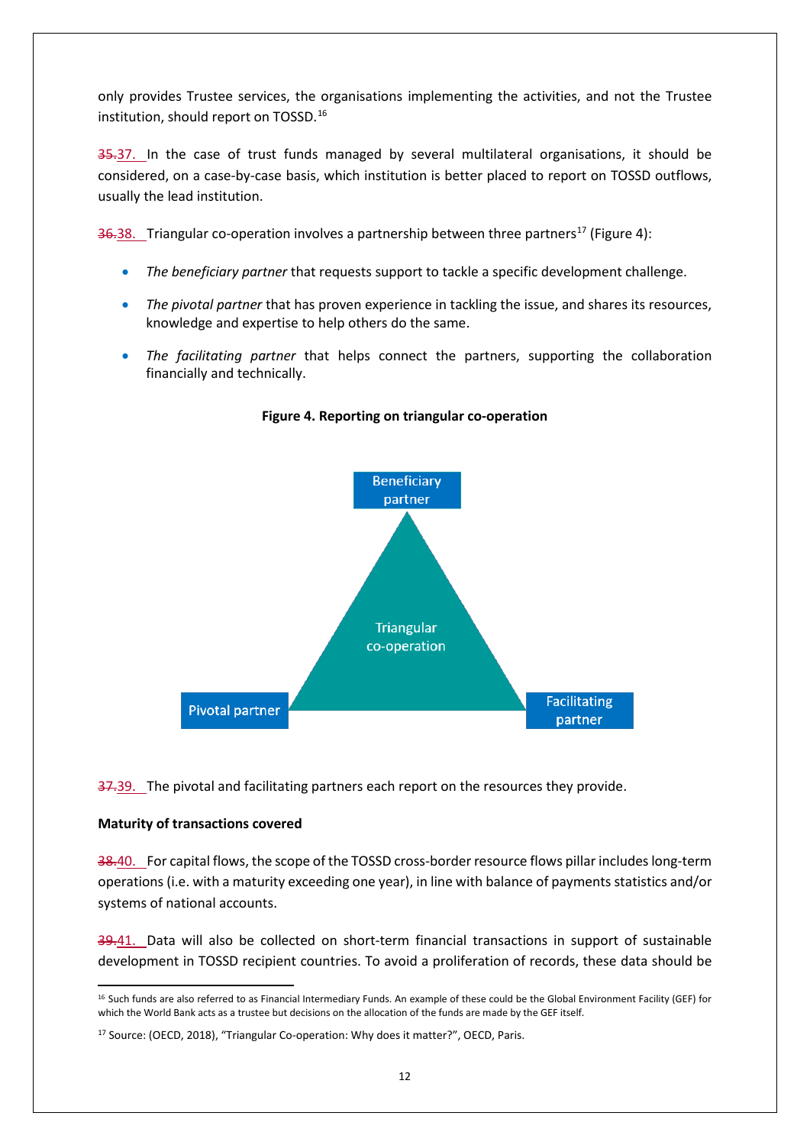only provides Trustee services, the organisations implementing the activities, and not the Trustee institution, should report on TOSSD.[16](#page-11-0)

35.37. In the case of trust funds managed by several multilateral organisations, it should be considered, on a case-by-case basis, which institution is better placed to report on TOSSD outflows, usually the lead institution.

 $36.38$ . Triangular co-operation involves a partnership between three partners<sup>[17](#page-11-1)</sup> (Figure 4):

- *The beneficiary partner* that requests support to tackle a specific development challenge.
- *The pivotal partner* that has proven experience in tackling the issue, and shares its resources, knowledge and expertise to help others do the same.
- *The facilitating partner* that helps connect the partners, supporting the collaboration financially and technically.



**Figure 4. Reporting on triangular co-operation**

37.39. The pivotal and facilitating partners each report on the resources they provide.

#### **Maturity of transactions covered**

38.40. For capital flows, the scope of the TOSSD cross-border resource flows pillar includes long-term operations (i.e. with a maturity exceeding one year), in line with balance of payments statistics and/or systems of national accounts.

39.41. Data will also be collected on short-term financial transactions in support of sustainable development in TOSSD recipient countries. To avoid a proliferation of records, these data should be

<span id="page-11-0"></span><sup>&</sup>lt;sup>16</sup> Such funds are also referred to as Financial Intermediary Funds. An example of these could be the Global Environment Facility (GEF) for which the World Bank acts as a trustee but decisions on the allocation of the funds are made by the GEF itself.

<span id="page-11-1"></span><sup>17</sup> Source: (OECD, 2018), "Triangular Co-operation: Why does it matter?", OECD, Paris.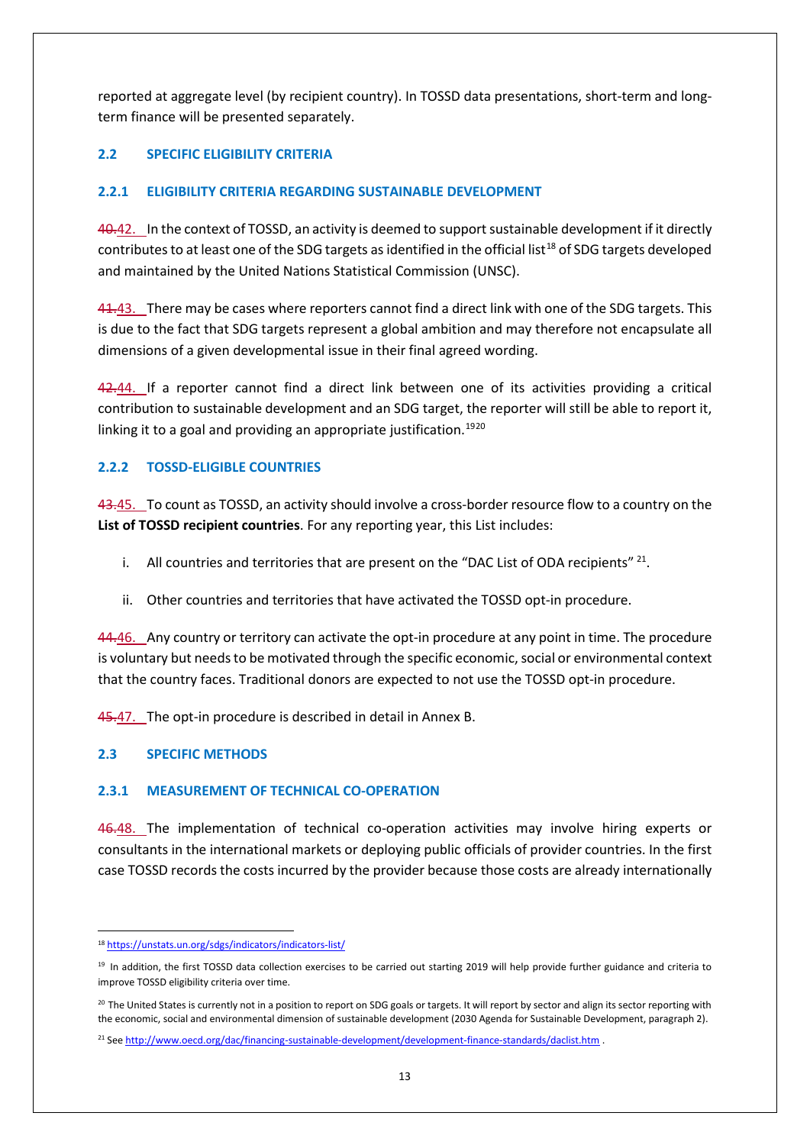reported at aggregate level (by recipient country). In TOSSD data presentations, short-term and longterm finance will be presented separately.

## **2.2 SPECIFIC ELIGIBILITY CRITERIA**

## **2.2.1 ELIGIBILITY CRITERIA REGARDING SUSTAINABLE DEVELOPMENT**

40.42. In the context of TOSSD, an activity is deemed to support sustainable development if it directly contributes to at least one of the SDG targets as identified in the official list<sup>[18](#page-12-0)</sup> of SDG targets developed and maintained by the United Nations Statistical Commission (UNSC).

41.43. There may be cases where reporters cannot find a direct link with one of the SDG targets. This is due to the fact that SDG targets represent a global ambition and may therefore not encapsulate all dimensions of a given developmental issue in their final agreed wording.

42.44. If a reporter cannot find a direct link between one of its activities providing a critical contribution to sustainable development and an SDG target, the reporter will still be able to report it, linking it to a goal and providing an appropriate justification.<sup>[19](#page-12-1)[20](#page-12-2)</sup>

## **2.2.2 TOSSD-ELIGIBLE COUNTRIES**

43.45. To count as TOSSD, an activity should involve a cross-border resource flow to a country on the **List of TOSSD recipient countries**. For any reporting year, this List includes:

- i. All countries and territories that are present on the "DAC List of ODA recipients"  $^{21}$  $^{21}$  $^{21}$ .
- ii. Other countries and territories that have activated the TOSSD opt-in procedure.

44.46. Any country or territory can activate the opt-in procedure at any point in time. The procedure is voluntary but needs to be motivated through the specific economic, social or environmental context that the country faces. Traditional donors are expected to not use the TOSSD opt-in procedure.

45.47. The opt-in procedure is described in detail in Annex B.

## **2.3 SPECIFIC METHODS**

#### **2.3.1 MEASUREMENT OF TECHNICAL CO-OPERATION**

46.48. The implementation of technical co-operation activities may involve hiring experts or consultants in the international markets or deploying public officials of provider countries. In the first case TOSSD records the costs incurred by the provider because those costs are already internationally

<span id="page-12-0"></span> <sup>18</sup> <https://unstats.un.org/sdgs/indicators/indicators-list/>

<span id="page-12-1"></span><sup>&</sup>lt;sup>19</sup> In addition, the first TOSSD data collection exercises to be carried out starting 2019 will help provide further guidance and criteria to improve TOSSD eligibility criteria over time.

<span id="page-12-2"></span><sup>&</sup>lt;sup>20</sup> The United States is currently not in a position to report on SDG goals or targets. It will report by sector and align its sector reporting with the economic, social and environmental dimension of sustainable development (2030 Agenda for Sustainable Development, paragraph 2).

<span id="page-12-3"></span><sup>21</sup> See <http://www.oecd.org/dac/financing-sustainable-development/development-finance-standards/daclist.htm> .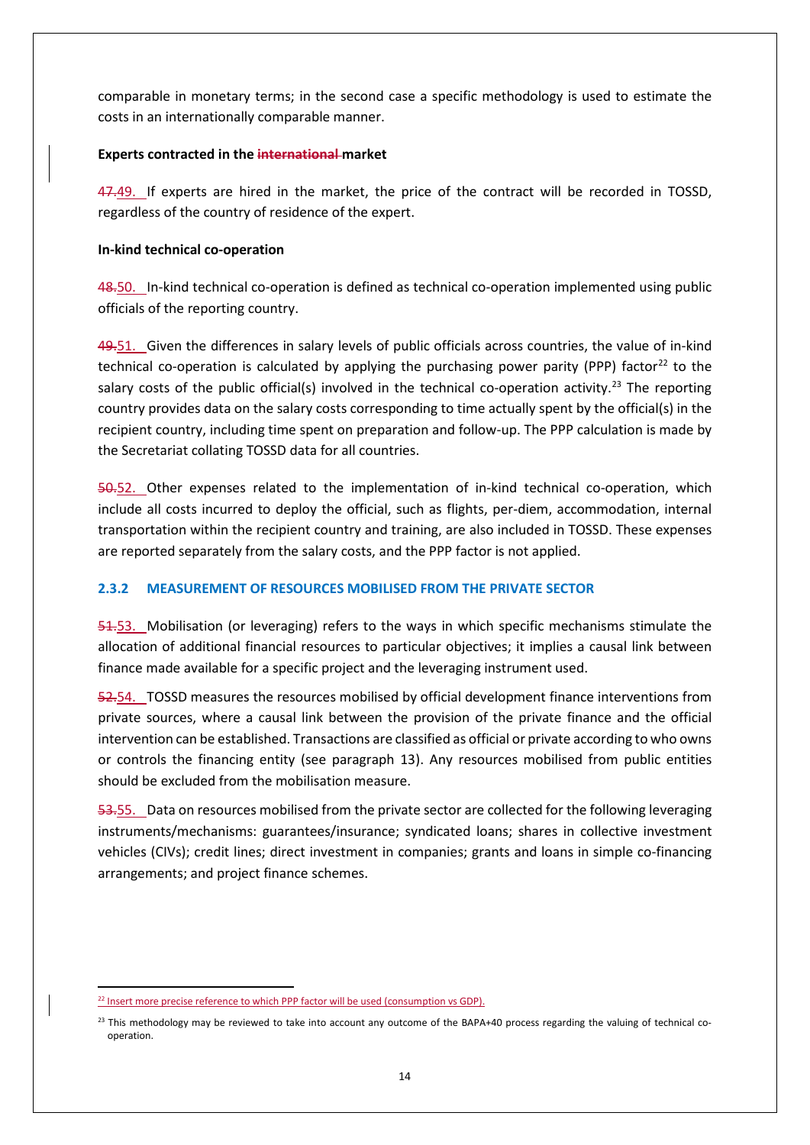comparable in monetary terms; in the second case a specific methodology is used to estimate the costs in an internationally comparable manner.

#### **Experts contracted in the international market**

47.49. If experts are hired in the market, the price of the contract will be recorded in TOSSD, regardless of the country of residence of the expert.

#### **In-kind technical co-operation**

48.50. In-kind technical co-operation is defined as technical co-operation implemented using public officials of the reporting country.

49.51. Given the differences in salary levels of public officials across countries, the value of in-kind technical co-operation is calculated by applying the purchasing power parity (PPP) factor<sup>[22](#page-13-0)</sup> to the salary costs of the public official(s) involved in the technical co-operation activity.<sup>[23](#page-13-1)</sup> The reporting country provides data on the salary costs corresponding to time actually spent by the official(s) in the recipient country, including time spent on preparation and follow-up. The PPP calculation is made by the Secretariat collating TOSSD data for all countries.

50.52. Other expenses related to the implementation of in-kind technical co-operation, which include all costs incurred to deploy the official, such as flights, per-diem, accommodation, internal transportation within the recipient country and training, are also included in TOSSD. These expenses are reported separately from the salary costs, and the PPP factor is not applied.

#### **2.3.2 MEASUREMENT OF RESOURCES MOBILISED FROM THE PRIVATE SECTOR**

54.53. Mobilisation (or leveraging) refers to the ways in which specific mechanisms stimulate the allocation of additional financial resources to particular objectives; it implies a causal link between finance made available for a specific project and the leveraging instrument used.

52.54. TOSSD measures the resources mobilised by official development finance interventions from private sources, where a causal link between the provision of the private finance and the official intervention can be established. Transactions are classified as official or private according to who owns or controls the financing entity (see paragraph 13). Any resources mobilised from public entities should be excluded from the mobilisation measure.

53.55. Data on resources mobilised from the private sector are collected for the following leveraging instruments/mechanisms: guarantees/insurance; syndicated loans; shares in collective investment vehicles (CIVs); credit lines; direct investment in companies; grants and loans in simple co-financing arrangements; and project finance schemes.

<span id="page-13-0"></span> $22$  Insert more precise reference to which PPP factor will be used (consumption vs GDP).

<span id="page-13-1"></span> $^{23}$  This methodology may be reviewed to take into account any outcome of the BAPA+40 process regarding the valuing of technical cooperation.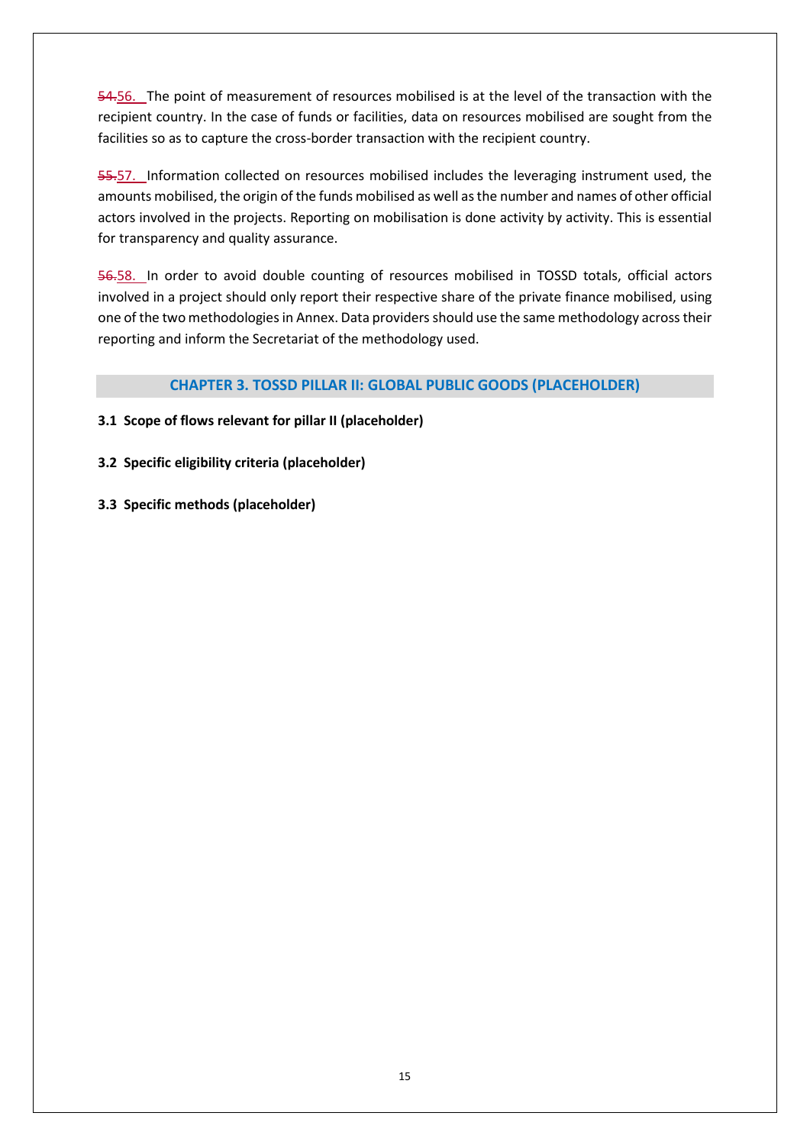54.56. The point of measurement of resources mobilised is at the level of the transaction with the recipient country. In the case of funds or facilities, data on resources mobilised are sought from the facilities so as to capture the cross-border transaction with the recipient country.

55.57. Information collected on resources mobilised includes the leveraging instrument used, the amounts mobilised, the origin of the funds mobilised as well as the number and names of other official actors involved in the projects. Reporting on mobilisation is done activity by activity. This is essential for transparency and quality assurance.

56.58. In order to avoid double counting of resources mobilised in TOSSD totals, official actors involved in a project should only report their respective share of the private finance mobilised, using one of the two methodologies in Annex. Data providers should use the same methodology across their reporting and inform the Secretariat of the methodology used.

## **CHAPTER 3. TOSSD PILLAR II: GLOBAL PUBLIC GOODS (PLACEHOLDER)**

## **3.1 Scope of flows relevant for pillar II (placeholder)**

## **3.2 Specific eligibility criteria (placeholder)**

**3.3 Specific methods (placeholder)**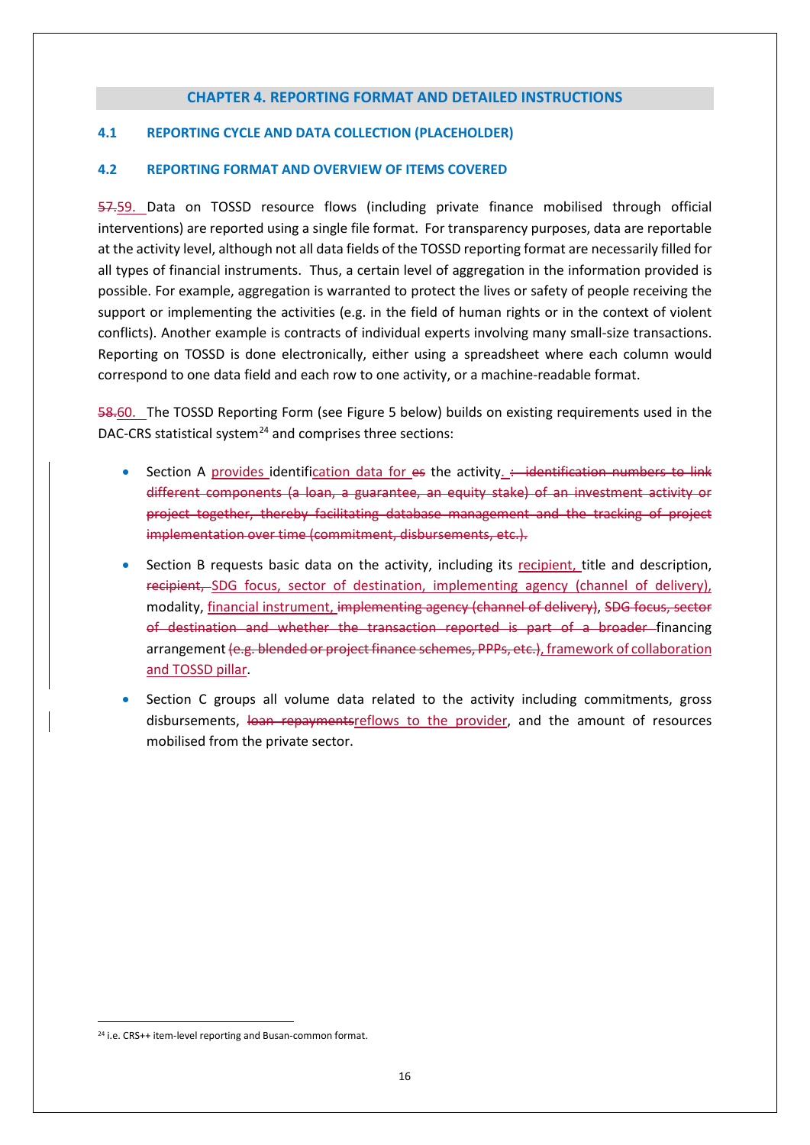#### **CHAPTER 4. REPORTING FORMAT AND DETAILED INSTRUCTIONS**

#### **4.1 REPORTING CYCLE AND DATA COLLECTION (PLACEHOLDER)**

#### **4.2 REPORTING FORMAT AND OVERVIEW OF ITEMS COVERED**

57.59. Data on TOSSD resource flows (including private finance mobilised through official interventions) are reported using a single file format. For transparency purposes, data are reportable at the activity level, although not all data fields of the TOSSD reporting format are necessarily filled for all types of financial instruments. Thus, a certain level of aggregation in the information provided is possible. For example, aggregation is warranted to protect the lives or safety of people receiving the support or implementing the activities (e.g. in the field of human rights or in the context of violent conflicts). Another example is contracts of individual experts involving many small-size transactions. Reporting on TOSSD is done electronically, either using a spreadsheet where each column would correspond to one data field and each row to one activity, or a machine-readable format.

58.60. The TOSSD Reporting Form (see Figure 5 below) builds on existing requirements used in the DAC-CRS statistical system $^{24}$  $^{24}$  $^{24}$  and comprises three sections:

- Section A provides identification data for es the activity.  $\div$  identification numbers to link different components (a loan, a guarantee, an equity stake) of an investment activity or project together, thereby facilitating database management and the tracking of project implementation over time (commitment, disbursements, etc.).
- Section B requests basic data on the activity, including its recipient, title and description, recipient, SDG focus, sector of destination, implementing agency (channel of delivery), modality, financial instrument, implementing agency (channel of delivery), SDG focus, sector of destination and whether the transaction reported is part of a broader financing arrangement (e.g. blended or project finance schemes, PPPs, etc.), framework of collaboration and TOSSD pillar.
- Section C groups all volume data related to the activity including commitments, gross disbursements, loan repaymentsreflows to the provider, and the amount of resources mobilised from the private sector.

<span id="page-15-0"></span><sup>&</sup>lt;sup>24</sup> i.e. CRS++ item-level reporting and Busan-common format.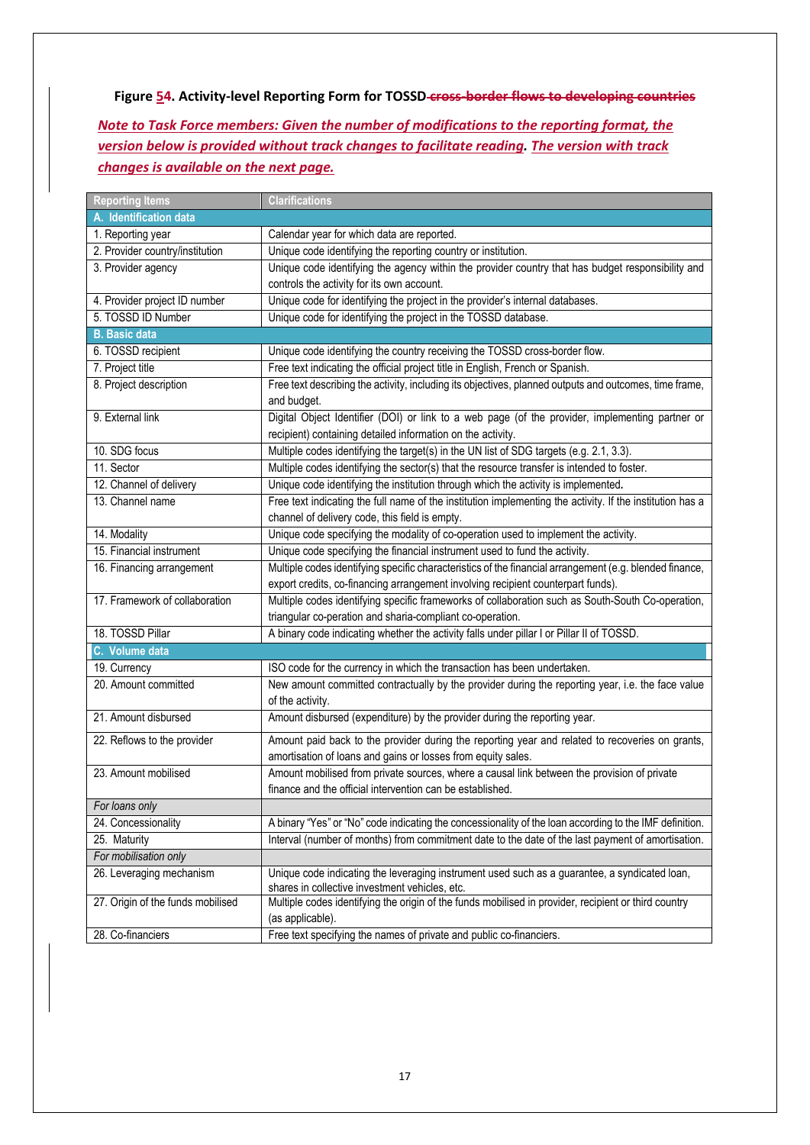**Figure 54. Activity-level Reporting Form for TOSSD cross-border flows to developing countries**

*Note to Task Force members: Given the number of modifications to the reporting format, the version below is provided without track changes to facilitate reading. The version with track changes is available on the next page.*

| <b>Reporting Items</b>            | <b>Clarifications</b>                                                                                                                                          |  |  |  |
|-----------------------------------|----------------------------------------------------------------------------------------------------------------------------------------------------------------|--|--|--|
| A. Identification data            |                                                                                                                                                                |  |  |  |
| 1. Reporting year                 | Calendar year for which data are reported.                                                                                                                     |  |  |  |
| 2. Provider country/institution   | Unique code identifying the reporting country or institution.                                                                                                  |  |  |  |
| 3. Provider agency                | Unique code identifying the agency within the provider country that has budget responsibility and                                                              |  |  |  |
|                                   | controls the activity for its own account.                                                                                                                     |  |  |  |
| 4. Provider project ID number     | Unique code for identifying the project in the provider's internal databases.                                                                                  |  |  |  |
| 5. TOSSD ID Number                | Unique code for identifying the project in the TOSSD database.                                                                                                 |  |  |  |
| <b>B.</b> Basic data              |                                                                                                                                                                |  |  |  |
| 6. TOSSD recipient                | Unique code identifying the country receiving the TOSSD cross-border flow.                                                                                     |  |  |  |
| 7. Project title                  | Free text indicating the official project title in English, French or Spanish.                                                                                 |  |  |  |
| 8. Project description            | Free text describing the activity, including its objectives, planned outputs and outcomes, time frame,<br>and budget.                                          |  |  |  |
| 9. External link                  | Digital Object Identifier (DOI) or link to a web page (of the provider, implementing partner or<br>recipient) containing detailed information on the activity. |  |  |  |
| 10. SDG focus                     | Multiple codes identifying the target(s) in the UN list of SDG targets (e.g. 2.1, 3.3).                                                                        |  |  |  |
| 11. Sector                        | Multiple codes identifying the sector(s) that the resource transfer is intended to foster.                                                                     |  |  |  |
| 12. Channel of delivery           | Unique code identifying the institution through which the activity is implemented.                                                                             |  |  |  |
| 13. Channel name                  | Free text indicating the full name of the institution implementing the activity. If the institution has a                                                      |  |  |  |
|                                   | channel of delivery code, this field is empty.                                                                                                                 |  |  |  |
| 14. Modality                      | Unique code specifying the modality of co-operation used to implement the activity.                                                                            |  |  |  |
| 15. Financial instrument          | Unique code specifying the financial instrument used to fund the activity.                                                                                     |  |  |  |
| 16. Financing arrangement         | Multiple codes identifying specific characteristics of the financial arrangement (e.g. blended finance,                                                        |  |  |  |
|                                   | export credits, co-financing arrangement involving recipient counterpart funds).                                                                               |  |  |  |
| 17. Framework of collaboration    | Multiple codes identifying specific frameworks of collaboration such as South-South Co-operation,                                                              |  |  |  |
|                                   | triangular co-peration and sharia-compliant co-operation.                                                                                                      |  |  |  |
| 18. TOSSD Pillar                  | A binary code indicating whether the activity falls under pillar I or Pillar II of TOSSD.                                                                      |  |  |  |
| C. Volume data                    |                                                                                                                                                                |  |  |  |
| 19. Currency                      | ISO code for the currency in which the transaction has been undertaken.                                                                                        |  |  |  |
| 20. Amount committed              | New amount committed contractually by the provider during the reporting year, i.e. the face value                                                              |  |  |  |
|                                   | of the activity.                                                                                                                                               |  |  |  |
| 21. Amount disbursed              | Amount disbursed (expenditure) by the provider during the reporting year.                                                                                      |  |  |  |
| 22. Reflows to the provider       | Amount paid back to the provider during the reporting year and related to recoveries on grants,                                                                |  |  |  |
|                                   | amortisation of loans and gains or losses from equity sales.                                                                                                   |  |  |  |
| 23. Amount mobilised              | Amount mobilised from private sources, where a causal link between the provision of private                                                                    |  |  |  |
|                                   | finance and the official intervention can be established.                                                                                                      |  |  |  |
| For loans only                    |                                                                                                                                                                |  |  |  |
| 24. Concessionality               | A binary "Yes" or "No" code indicating the concessionality of the loan according to the IMF definition.                                                        |  |  |  |
| 25. Maturity                      | Interval (number of months) from commitment date to the date of the last payment of amortisation.                                                              |  |  |  |
| For mobilisation only             |                                                                                                                                                                |  |  |  |
| 26. Leveraging mechanism          | Unique code indicating the leveraging instrument used such as a guarantee, a syndicated loan,<br>shares in collective investment vehicles, etc.                |  |  |  |
| 27. Origin of the funds mobilised | Multiple codes identifying the origin of the funds mobilised in provider, recipient or third country<br>(as applicable).                                       |  |  |  |
| 28. Co-financiers                 | Free text specifying the names of private and public co-financiers.                                                                                            |  |  |  |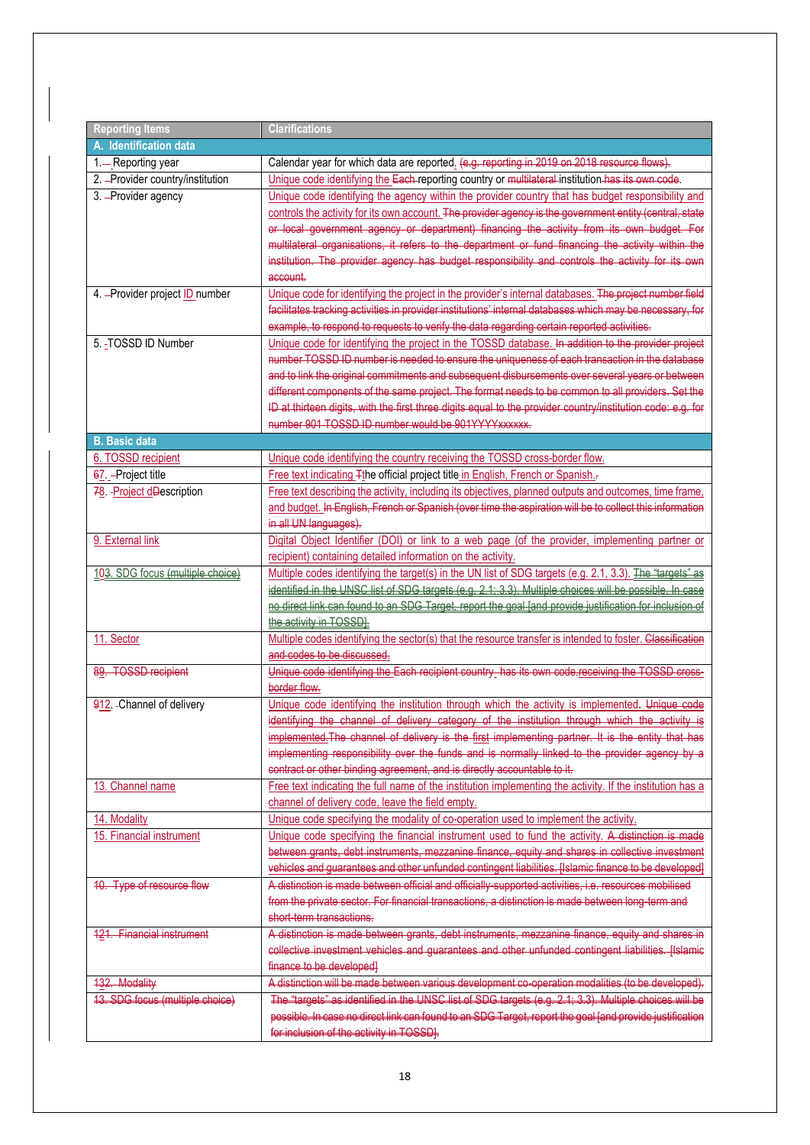| <b>Reporting Items</b>            | <b>Clarifications</b>                                                                                       |  |  |
|-----------------------------------|-------------------------------------------------------------------------------------------------------------|--|--|
| A. Identification data            |                                                                                                             |  |  |
| 1.-Reporting year                 | Calendar year for which data are reported. (e.g. reporting in 2019 on 2018 resource flows).                 |  |  |
| 2. - Provider country/institution | Unique code identifying the Each-reporting country or multilateral institution has its own code.            |  |  |
| 3. - Provider agency              | Unique code identifying the agency within the provider country that has budget responsibility and           |  |  |
|                                   | controls the activity for its own account. The provider agency is the government entity (central, state     |  |  |
|                                   | or local government agency or department) financing the activity from its own budget. For                   |  |  |
|                                   | multilateral organisations, it refers to the department or fund financing the activity within the           |  |  |
|                                   | institution. The provider agency has budget responsibility and controls the activity for its own            |  |  |
|                                   | account.                                                                                                    |  |  |
| 4. - Provider project ID number   | Unique code for identifying the project in the provider's internal databases. The project number field      |  |  |
|                                   | facilitates tracking activities in provider institutions' internal databases which may be necessary, for    |  |  |
|                                   | example, to respond to requests to verify the data regarding certain reported activities.                   |  |  |
| 5. - TOSSD ID Number              | Unique code for identifying the project in the TOSSD database. In addition to the provider project          |  |  |
|                                   | number TOSSD ID number is needed to ensure the uniqueness of each transaction in the database               |  |  |
|                                   | and to link the original commitments and subsequent disbursements over several years or between             |  |  |
|                                   | different components of the same project. The format needs to be common to all providers. Set the           |  |  |
|                                   | ID at thirteen digits, with the first three digits equal to the provider country/institution code: e.g. for |  |  |
|                                   | number 901 TOSSD ID number would be 901YYYYXXXXXX.                                                          |  |  |
| <b>B.</b> Basic data              |                                                                                                             |  |  |
| 6. TOSSD recipient                | Unique code identifying the country receiving the TOSSD cross-border flow.                                  |  |  |
| 67. - Project title               | Free text indicating Tthe official project title in English, French or Spanish.                             |  |  |
| 78. - Project dDescription        | Free text describing the activity, including its objectives, planned outputs and outcomes, time frame,      |  |  |
|                                   | and budget. In English, French or Spanish (over time the aspiration will be to collect this information     |  |  |
|                                   | in all UN languages).                                                                                       |  |  |
| 9. External link                  | Digital Object Identifier (DOI) or link to a web page (of the provider, implementing partner or             |  |  |
|                                   | recipient) containing detailed information on the activity.                                                 |  |  |
| 103. SDG focus (multiple choice)  | Multiple codes identifying the target(s) in the UN list of SDG targets (e.g. 2.1, 3.3). The "targets" as    |  |  |
|                                   | identified in the UNSC list of SDG targets (e.g. 2.1; 3.3). Multiple choices will be possible. In case      |  |  |
|                                   | no direct link can found to an SDG Target, report the goal [and provide justification for inclusion of      |  |  |
|                                   | the activity in TOSSDI.                                                                                     |  |  |
| 11. Sector                        | Multiple codes identifying the sector(s) that the resource transfer is intended to foster. Classification   |  |  |
|                                   | and codes to be discussed.                                                                                  |  |  |
| 89. TOSSD recipient               | Unique code identifying the Each recipient country_has its own code receiving the TOSSD cross-              |  |  |
|                                   | border flow.                                                                                                |  |  |
| 912. - Channel of delivery        | Unique code identifying the institution through which the activity is implemented. Unique code              |  |  |
|                                   | identifying the channel of delivery category of the institution through which the activity is               |  |  |
|                                   | implemented. The channel of delivery is the first implementing partner. It is the entity that has           |  |  |
|                                   | implementing responsibility over the funds and is normally linked to the provider agency by a               |  |  |
|                                   | contract or other binding agreement, and is directly accountable to it.                                     |  |  |
| 13. Channel name                  | Free text indicating the full name of the institution implementing the activity. If the institution has a   |  |  |
|                                   | channel of delivery code, leave the field empty.                                                            |  |  |
| 14. Modality                      | Unique code specifying the modality of co-operation used to implement the activity.                         |  |  |
| 15. Financial instrument          | Unique code specifying the financial instrument used to fund the activity. A distinction is made            |  |  |
|                                   | between grants, debt instruments, mezzanine finance, equity and shares in collective investment             |  |  |
|                                   | vehicles and guarantees and other unfunded contingent liabilities. [Islamic finance to be developed]        |  |  |
| 10. Type of resource flow         | A distinction is made between official and officially supported activities, i.e. resources mobilised        |  |  |
|                                   | from the private sector. For financial transactions, a distinction is made between long-term and            |  |  |
|                                   | short-term transactions.                                                                                    |  |  |
| 121. Financial instrument         | A distinction is made between grants, debt instruments, mezzanine finance, equity and shares in             |  |  |
|                                   | collective investment vehicles and guarantees and other unfunded contingent liabilities. [Islamic           |  |  |
|                                   | finance to be developed]                                                                                    |  |  |
| 132. Modality                     | A distinction will be made between various development co-operation modalities (to be developed).           |  |  |
| 13. SDG focus (multiple choice)   | The "targets" as identified in the UNSC list of SDG targets (e.g. 2.1; 3.3). Multiple choices will be       |  |  |
|                                   | possible. In case no direct link can found to an SDG Target, report the goal [and provide justification     |  |  |
|                                   |                                                                                                             |  |  |
|                                   | for inclusion of the activity in TOSSD].                                                                    |  |  |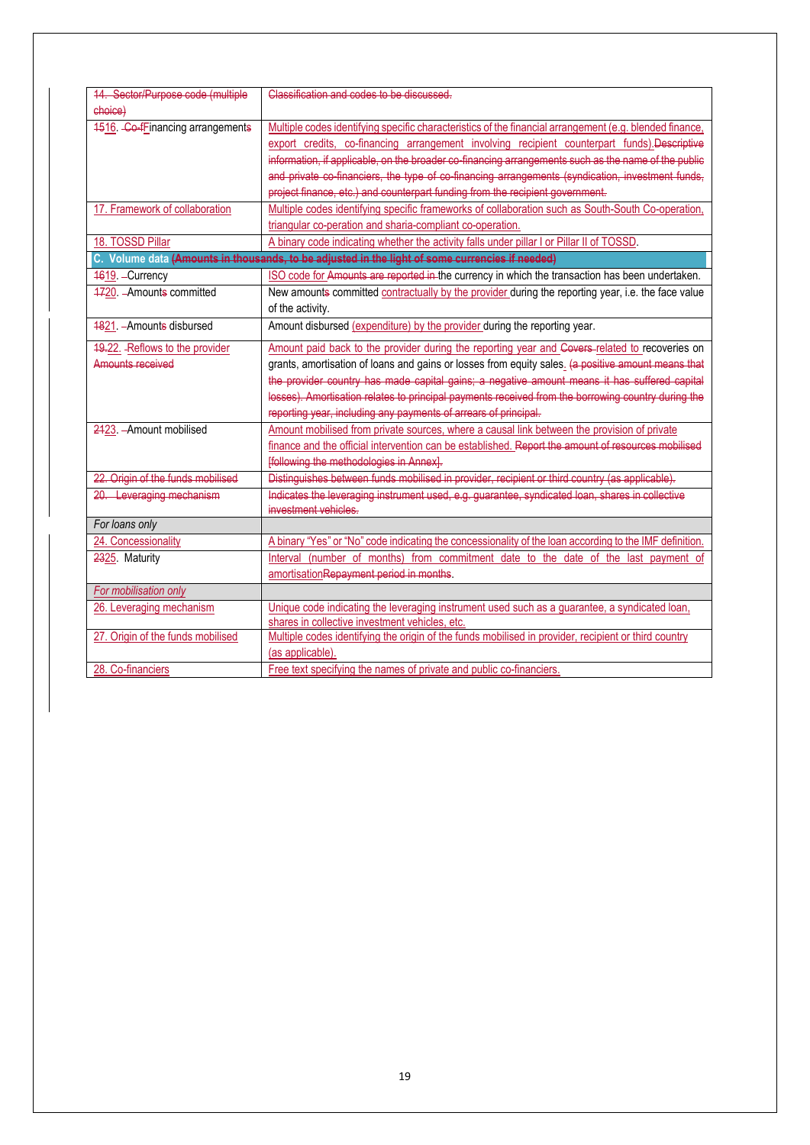| 14. Sector/Purpose code (multiple                                                               | Classification and codes to be discussed.                                                               |  |  |  |
|-------------------------------------------------------------------------------------------------|---------------------------------------------------------------------------------------------------------|--|--|--|
| choice)                                                                                         |                                                                                                         |  |  |  |
| 4516. Co-fFinancing arrangements                                                                | Multiple codes identifying specific characteristics of the financial arrangement (e.g. blended finance, |  |  |  |
|                                                                                                 |                                                                                                         |  |  |  |
|                                                                                                 | export credits, co-financing arrangement involving recipient counterpart funds).Descriptive             |  |  |  |
|                                                                                                 | information, if applicable, on the broader co-financing arrangements such as the name of the public     |  |  |  |
|                                                                                                 | and private co financiers, the type of co financing arrangements (syndication, investment funds,        |  |  |  |
|                                                                                                 | project finance, etc.) and counterpart funding from the recipient government.                           |  |  |  |
| 17. Framework of collaboration                                                                  | Multiple codes identifying specific frameworks of collaboration such as South-South Co-operation,       |  |  |  |
|                                                                                                 | triangular co-peration and sharia-compliant co-operation.                                               |  |  |  |
| 18. TOSSD Pillar                                                                                | A binary code indicating whether the activity falls under pillar I or Pillar II of TOSSD.               |  |  |  |
| C. Volume data (Amounts in thousands, to be adjusted in the light of some currencies if needed) |                                                                                                         |  |  |  |
| 1619. - Currency                                                                                | ISO code for Amounts are reported in the currency in which the transaction has been undertaken.         |  |  |  |
| 4720. - Amounts committed                                                                       | New amounts committed contractually by the provider during the reporting year, i.e. the face value      |  |  |  |
|                                                                                                 | of the activity.                                                                                        |  |  |  |
| 4821. - Amounts disbursed                                                                       | Amount disbursed (expenditure) by the provider during the reporting year.                               |  |  |  |
|                                                                                                 |                                                                                                         |  |  |  |
| 19.22. - Reflows to the provider                                                                | Amount paid back to the provider during the reporting year and Covers related to recoveries on          |  |  |  |
| Amounts received                                                                                | grants, amortisation of loans and gains or losses from equity sales. (a positive amount means that      |  |  |  |
|                                                                                                 | the provider country has made capital gains; a negative amount means it has suffered capital            |  |  |  |
|                                                                                                 | losses). Amortisation relates to principal payments received from the borrowing country during the      |  |  |  |
|                                                                                                 | reporting year, including any payments of arrears of principal.                                         |  |  |  |
| 2423. - Amount mobilised                                                                        | Amount mobilised from private sources, where a causal link between the provision of private             |  |  |  |
|                                                                                                 | finance and the official intervention can be established. Report the amount of resources mobilised      |  |  |  |
|                                                                                                 | [following the methodologies in Annex].                                                                 |  |  |  |
| 22. Origin of the funds mobilised                                                               | Distinguishes between funds mobilised in provider, recipient or third country (as applicable).          |  |  |  |
| 20. Leveraging mechanism                                                                        | Indicates the leveraging instrument used, e.g. guarantee, syndicated loan, shares in collective         |  |  |  |
|                                                                                                 | investment vehicles.                                                                                    |  |  |  |
| For loans only                                                                                  |                                                                                                         |  |  |  |
| 24. Concessionality                                                                             | A binary "Yes" or "No" code indicating the concessionality of the loan according to the IMF definition. |  |  |  |
| 2325. Maturity                                                                                  | Interval (number of months) from commitment date to the date of the last payment of                     |  |  |  |
|                                                                                                 | amortisation Repayment period in months.                                                                |  |  |  |
| For mobilisation only                                                                           |                                                                                                         |  |  |  |
| 26. Leveraging mechanism                                                                        | Unique code indicating the leveraging instrument used such as a guarantee, a syndicated loan,           |  |  |  |
|                                                                                                 | shares in collective investment vehicles, etc.                                                          |  |  |  |
| 27. Origin of the funds mobilised                                                               | Multiple codes identifying the origin of the funds mobilised in provider, recipient or third country    |  |  |  |
|                                                                                                 | (as applicable).                                                                                        |  |  |  |
| 28. Co-financiers                                                                               | Free text specifying the names of private and public co-financiers.                                     |  |  |  |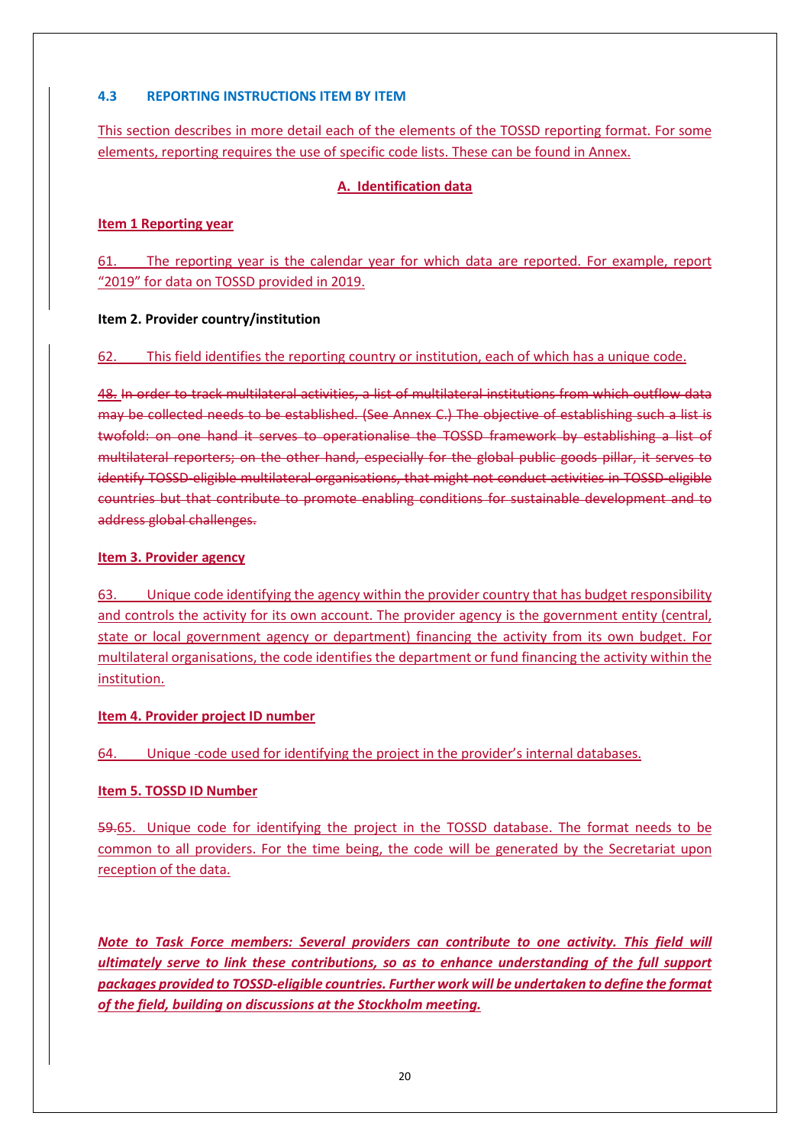## **4.3 REPORTING INSTRUCTIONS ITEM BY ITEM**

This section describes in more detail each of the elements of the TOSSD reporting format. For some elements, reporting requires the use of specific code lists. These can be found in Annex.

## **A. Identification data**

## **Item 1 Reporting year**

61. The reporting year is the calendar year for which data are reported. For example, report "2019" for data on TOSSD provided in 2019.

## **Item 2. Provider country/institution**

## 62. This field identifies the reporting country or institution, each of which has a unique code.

48. In order to track multilateral activities, a list of multilateral institutions from which outflow data may be collected needs to be established. (See Annex C.) The objective of establishing such a list is twofold: on one hand it serves to operationalise the TOSSD framework by establishing a list of multilateral reporters; on the other hand, especially for the global public goods pillar, it serves to identify TOSSD-eligible multilateral organisations, that might not conduct activities in TOSSD-eligible countries but that contribute to promote enabling conditions for sustainable development and to address global challenges.

## **Item 3. Provider agency**

63. Unique code identifying the agency within the provider country that has budget responsibility and controls the activity for its own account. The provider agency is the government entity (central, state or local government agency or department) financing the activity from its own budget. For multilateral organisations, the code identifies the department or fund financing the activity within the institution.

## **Item 4. Provider project ID number**

64. Unique code used for identifying the project in the provider's internal databases.

## **Item 5. TOSSD ID Number**

59.65. Unique code for identifying the project in the TOSSD database. The format needs to be common to all providers. For the time being, the code will be generated by the Secretariat upon reception of the data.

*Note to Task Force members: Several providers can contribute to one activity. This field will ultimately serve to link these contributions, so as to enhance understanding of the full support packages provided to TOSSD-eligible countries. Further work will be undertaken to define the format of the field, building on discussions at the Stockholm meeting.*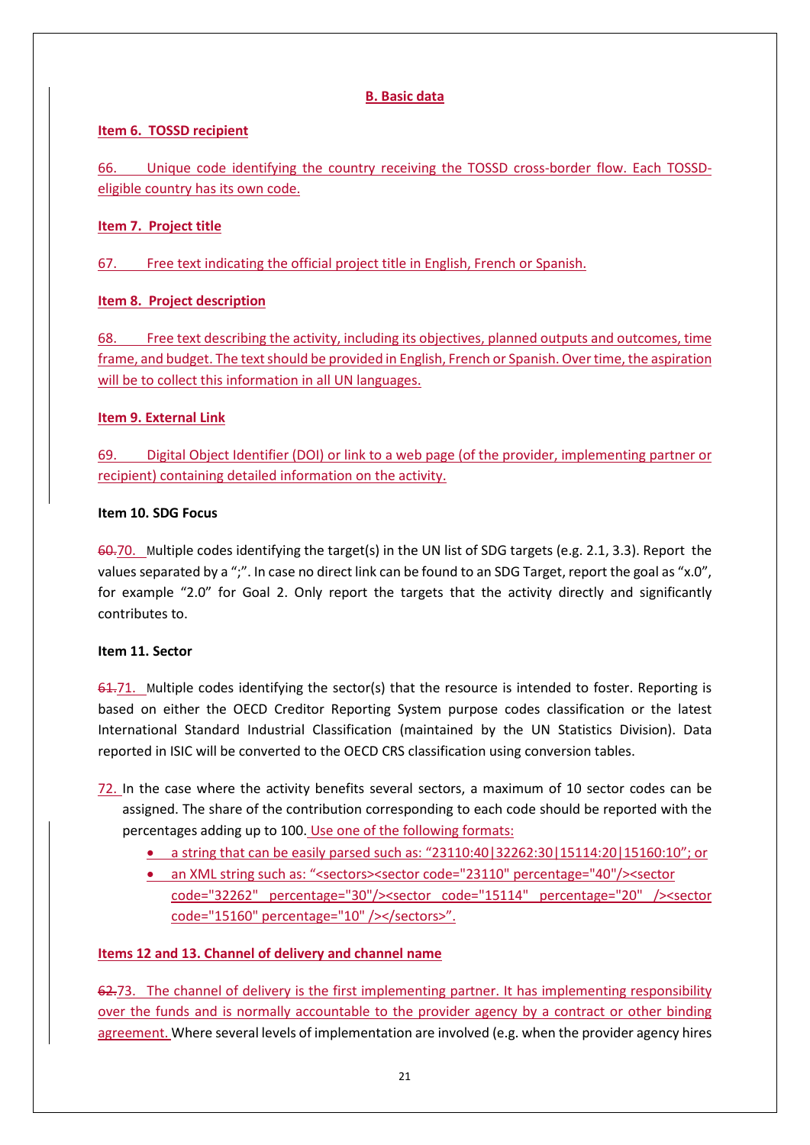## **B. Basic data**

## **Item 6. TOSSD recipient**

66. Unique code identifying the country receiving the TOSSD cross-border flow. Each TOSSDeligible country has its own code.

## **Item 7. Project title**

67. Free text indicating the official project title in English, French or Spanish.

## **Item 8. Project description**

68. Free text describing the activity, including its objectives, planned outputs and outcomes, time frame, and budget. The text should be provided in English, French or Spanish. Over time, the aspiration will be to collect this information in all UN languages.

## **Item 9. External Link**

69. Digital Object Identifier (DOI) or link to a web page (of the provider, implementing partner or recipient) containing detailed information on the activity.

## **Item 10. SDG Focus**

60.70. Multiple codes identifying the target(s) in the UN list of SDG targets (e.g. 2.1, 3.3). Report the values separated by a ";". In case no direct link can be found to an SDG Target, report the goal as "x.0", for example "2.0" for Goal 2. Only report the targets that the activity directly and significantly contributes to.

## **Item 11. Sector**

61.71. Multiple codes identifying the sector(s) that the resource is intended to foster. Reporting is based on either the OECD Creditor Reporting System purpose codes classification or the latest International Standard Industrial Classification (maintained by the UN Statistics Division). Data reported in ISIC will be converted to the OECD CRS classification using conversion tables.

- 72. In the case where the activity benefits several sectors, a maximum of 10 sector codes can be assigned. The share of the contribution corresponding to each code should be reported with the percentages adding up to 100. Use one of the following formats:
	- a string that can be easily parsed such as: "23110:40|32262:30|15114:20|15160:10"; or
	- an XML string such as: "<sectors><sector code="23110" percentage="40"/><sector code="32262" percentage="30"/><sector code="15114" percentage="20" /><sector code="15160" percentage="10" /></sectors>".

## **Items 12 and 13. Channel of delivery and channel name**

62.73. The channel of delivery is the first implementing partner. It has implementing responsibility over the funds and is normally accountable to the provider agency by a contract or other binding agreement. Where several levels of implementation are involved (e.g. when the provider agency hires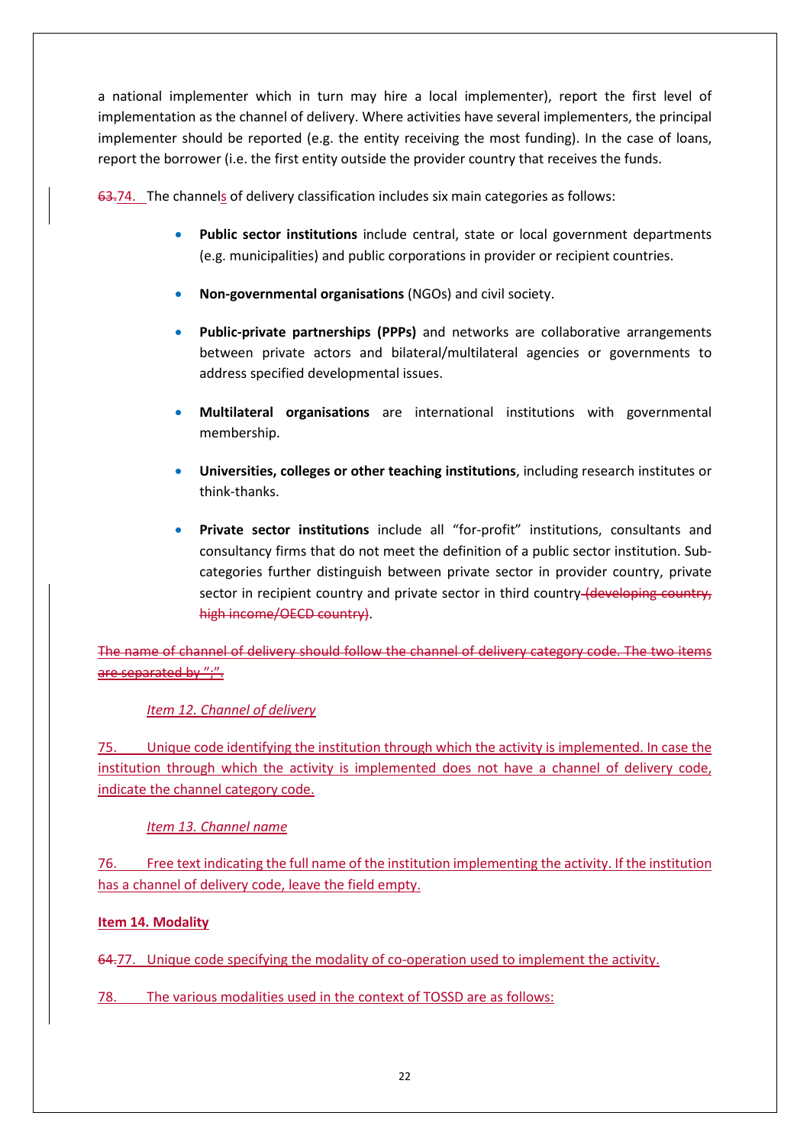a national implementer which in turn may hire a local implementer), report the first level of implementation as the channel of delivery. Where activities have several implementers, the principal implementer should be reported (e.g. the entity receiving the most funding). In the case of loans, report the borrower (i.e. the first entity outside the provider country that receives the funds.

63.74. The channels of delivery classification includes six main categories as follows:

- **Public sector institutions** include central, state or local government departments (e.g. municipalities) and public corporations in provider or recipient countries.
- **Non-governmental organisations** (NGOs) and civil society.
- **Public-private partnerships (PPPs)** and networks are collaborative arrangements between private actors and bilateral/multilateral agencies or governments to address specified developmental issues.
- **Multilateral organisations** are international institutions with governmental membership.
- **Universities, colleges or other teaching institutions**, including research institutes or think-thanks.
- **Private sector institutions** include all "for-profit" institutions, consultants and consultancy firms that do not meet the definition of a public sector institution. Subcategories further distinguish between private sector in provider country, private sector in recipient country and private sector in third country (developing country, high income/OECD country).

The name of channel of delivery should follow the channel of delivery category code. The two items are separated by ";".

## *Item 12. Channel of delivery*

75. Unique code identifying the institution through which the activity is implemented. In case the institution through which the activity is implemented does not have a channel of delivery code, indicate the channel category code.

## *Item 13. Channel name*

76. Free text indicating the full name of the institution implementing the activity. If the institution has a channel of delivery code, leave the field empty.

## **Item 14. Modality**

64.77. Unique code specifying the modality of co-operation used to implement the activity.

78. The various modalities used in the context of TOSSD are as follows: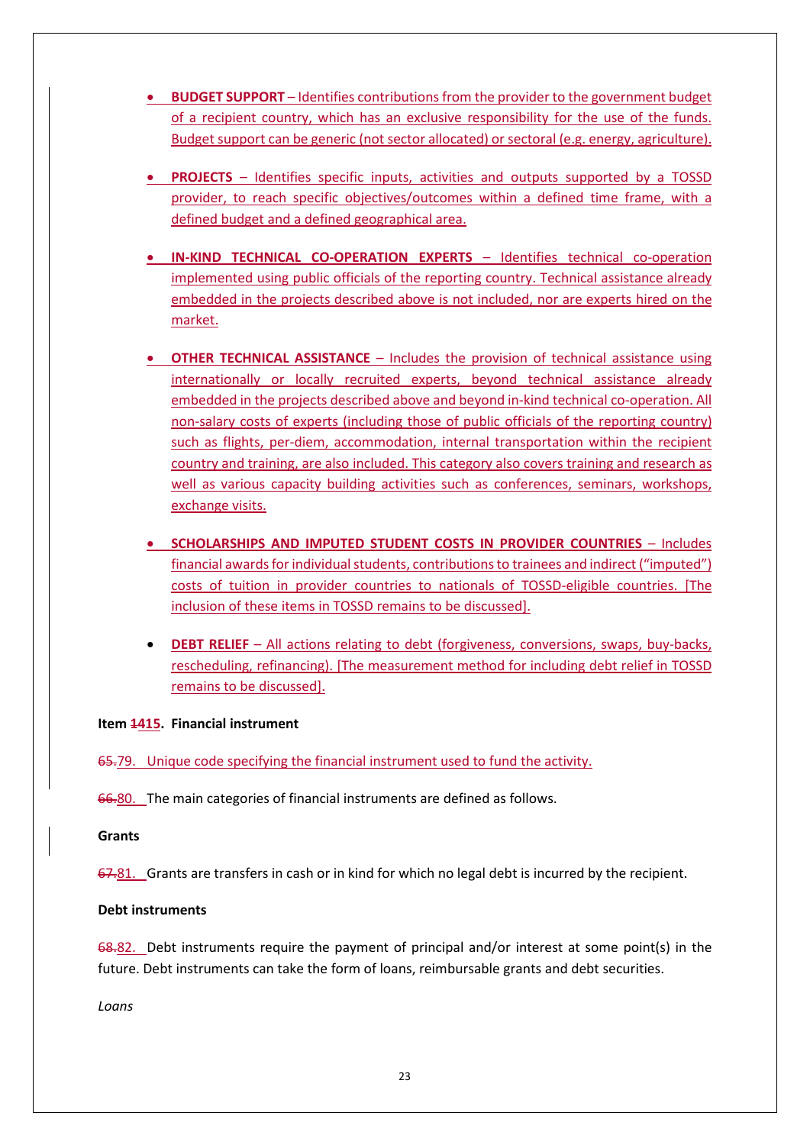- **BUDGET SUPPORT**  Identifies contributions from the provider to the government budget of a recipient country, which has an exclusive responsibility for the use of the funds. Budget support can be generic (not sector allocated) or sectoral (e.g. energy, agriculture).
- **PROJECTS**  Identifies specific inputs, activities and outputs supported by a TOSSD provider, to reach specific objectives/outcomes within a defined time frame, with a defined budget and a defined geographical area.
- **IN-KIND TECHNICAL CO-OPERATION EXPERTS** Identifies technical co-operation implemented using public officials of the reporting country. Technical assistance already embedded in the projects described above is not included, nor are experts hired on the market.
- **OTHER TECHNICAL ASSISTANCE** Includes the provision of technical assistance using internationally or locally recruited experts, beyond technical assistance already embedded in the projects described above and beyond in-kind technical co-operation. All non-salary costs of experts (including those of public officials of the reporting country) such as flights, per-diem, accommodation, internal transportation within the recipient country and training, are also included. This category also covers training and research as well as various capacity building activities such as conferences, seminars, workshops, exchange visits.
- **SCHOLARSHIPS AND IMPUTED STUDENT COSTS IN PROVIDER COUNTRIES**  Includes financial awards for individual students, contributions to trainees and indirect ("imputed") costs of tuition in provider countries to nationals of TOSSD-eligible countries. [The inclusion of these items in TOSSD remains to be discussed].
- **DEBT RELIEF**  All actions relating to debt (forgiveness, conversions, swaps, buy-backs, rescheduling, refinancing). [The measurement method for including debt relief in TOSSD remains to be discussed].

#### **Item 1415. Financial instrument**

65.79. Unique code specifying the financial instrument used to fund the activity.

66.80. The main categories of financial instruments are defined as follows.

#### **Grants**

67.81. Grants are transfers in cash or in kind for which no legal debt is incurred by the recipient.

#### **Debt instruments**

68.82. Debt instruments require the payment of principal and/or interest at some point(s) in the future. Debt instruments can take the form of loans, reimbursable grants and debt securities.

*Loans*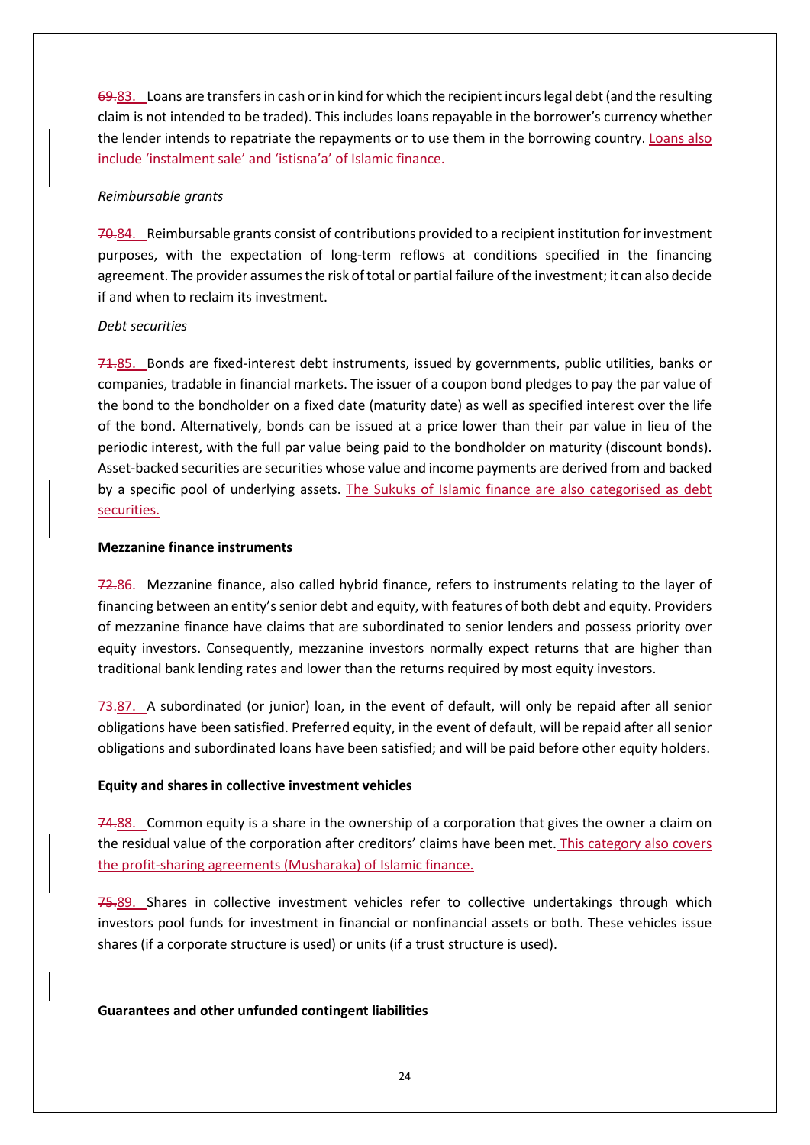69.83. Loans are transfers in cash or in kind for which the recipient incurs legal debt (and the resulting claim is not intended to be traded). This includes loans repayable in the borrower's currency whether the lender intends to repatriate the repayments or to use them in the borrowing country. Loans also include 'instalment sale' and 'istisna'a' of Islamic finance.

#### *Reimbursable grants*

70.84. Reimbursable grants consist of contributions provided to a recipient institution for investment purposes, with the expectation of long-term reflows at conditions specified in the financing agreement. The provider assumes the risk of total or partial failure of the investment; it can also decide if and when to reclaim its investment.

#### *Debt securities*

71.85. Bonds are fixed-interest debt instruments, issued by governments, public utilities, banks or companies, tradable in financial markets. The issuer of a coupon bond pledges to pay the par value of the bond to the bondholder on a fixed date (maturity date) as well as specified interest over the life of the bond. Alternatively, bonds can be issued at a price lower than their par value in lieu of the periodic interest, with the full par value being paid to the bondholder on maturity (discount bonds). Asset-backed securities are securities whose value and income payments are derived from and backed by a specific pool of underlying assets. The Sukuks of Islamic finance are also categorised as debt securities.

#### **Mezzanine finance instruments**

72.86. Mezzanine finance, also called hybrid finance, refers to instruments relating to the layer of financing between an entity's senior debt and equity, with features of both debt and equity. Providers of mezzanine finance have claims that are subordinated to senior lenders and possess priority over equity investors. Consequently, mezzanine investors normally expect returns that are higher than traditional bank lending rates and lower than the returns required by most equity investors.

73.87. A subordinated (or junior) loan, in the event of default, will only be repaid after all senior obligations have been satisfied. Preferred equity, in the event of default, will be repaid after all senior obligations and subordinated loans have been satisfied; and will be paid before other equity holders.

## **Equity and shares in collective investment vehicles**

74.88. Common equity is a share in the ownership of a corporation that gives the owner a claim on the residual value of the corporation after creditors' claims have been met. This category also covers the profit-sharing agreements (Musharaka) of Islamic finance.

75.89. Shares in collective investment vehicles refer to collective undertakings through which investors pool funds for investment in financial or nonfinancial assets or both. These vehicles issue shares (if a corporate structure is used) or units (if a trust structure is used).

## **Guarantees and other unfunded contingent liabilities**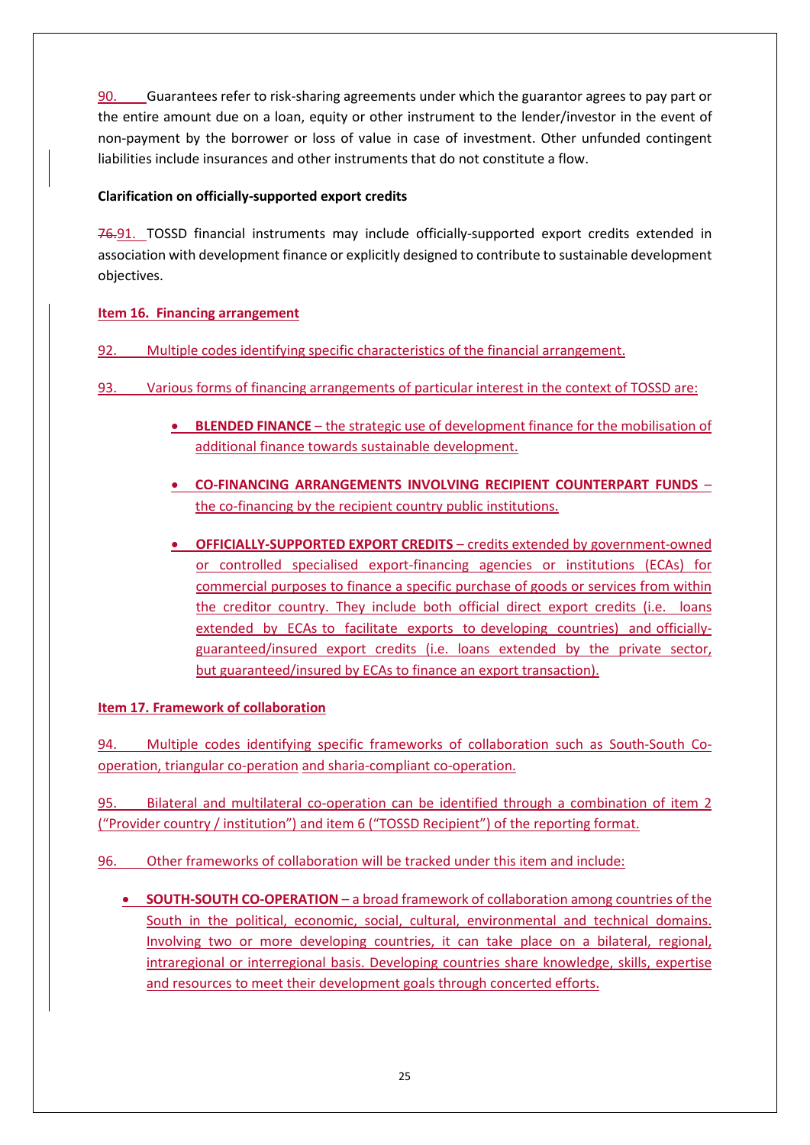90. Guarantees refer to risk-sharing agreements under which the guarantor agrees to pay part or the entire amount due on a loan, equity or other instrument to the lender/investor in the event of non-payment by the borrower or loss of value in case of investment. Other unfunded contingent liabilities include insurances and other instruments that do not constitute a flow.

## **Clarification on officially-supported export credits**

76.91. TOSSD financial instruments may include officially-supported export credits extended in association with development finance or explicitly designed to contribute to sustainable development objectives.

## **Item 16. Financing arrangement**

- 92. Multiple codes identifying specific characteristics of the financial arrangement.
- 93. Various forms of financing arrangements of particular interest in the context of TOSSD are:
	- **BLENDED FINANCE** the strategic use of development finance for the mobilisation of additional finance towards sustainable development.
	- **CO-FINANCING ARRANGEMENTS INVOLVING RECIPIENT COUNTERPART FUNDS** the co-financing by the recipient country public institutions.
	- **OFFICIALLY-SUPPORTED EXPORT CREDITS** credits extended by government-owned or controlled specialised export-financing agencies or institutions (ECAs) for commercial purposes to finance a specific purchase of goods or services from within the creditor country. They include both official direct export credits (i.e. loans extended by ECAs to facilitate exports to developing countries) and officiallyguaranteed/insured export credits (i.e. loans extended by the private sector, but guaranteed/insured by ECAs to finance an export transaction).

## **Item 17. Framework of collaboration**

94. Multiple codes identifying specific frameworks of collaboration such as South-South Cooperation, triangular co-peration and sharia-compliant co-operation.

95. Bilateral and multilateral co-operation can be identified through a combination of item 2 ("Provider country / institution") and item 6 ("TOSSD Recipient") of the reporting format.

96. Other frameworks of collaboration will be tracked under this item and include:

• **SOUTH-SOUTH CO-OPERATION** – a broad framework of collaboration among countries of the South in the political, economic, social, cultural, environmental and technical domains. Involving two or more developing countries, it can take place on a bilateral, regional, intraregional or interregional basis. Developing countries share knowledge, skills, expertise and resources to meet their development goals through concerted efforts.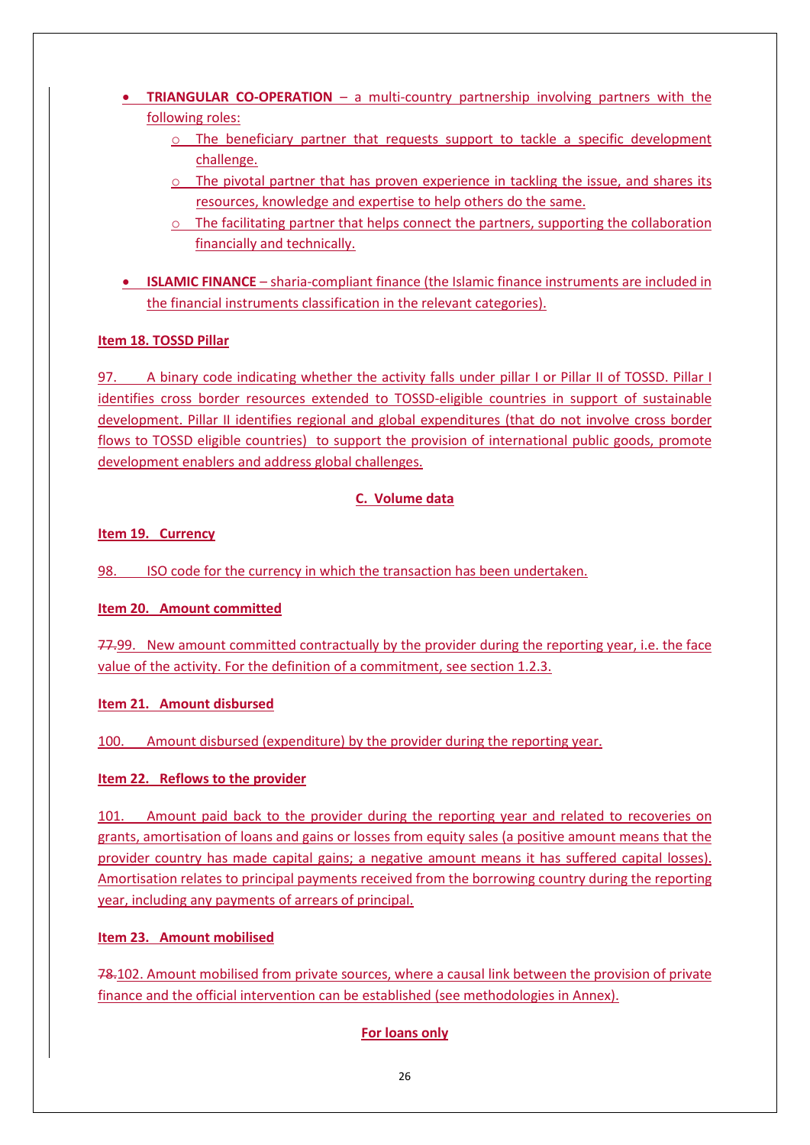- **TRIANGULAR CO-OPERATION** a multi-country partnership involving partners with the following roles:
	- $\circ$  The beneficiary partner that requests support to tackle a specific development challenge.
	- o The pivotal partner that has proven experience in tackling the issue, and shares its resources, knowledge and expertise to help others do the same.
	- $\circ$  The facilitating partner that helps connect the partners, supporting the collaboration financially and technically.
- **ISLAMIC FINANCE** sharia-compliant finance (the Islamic finance instruments are included in the financial instruments classification in the relevant categories).

## **Item 18. TOSSD Pillar**

97. A binary code indicating whether the activity falls under pillar I or Pillar II of TOSSD. Pillar I identifies cross border resources extended to TOSSD-eligible countries in support of sustainable development. Pillar II identifies regional and global expenditures (that do not involve cross border flows to TOSSD eligible countries) to support the provision of international public goods, promote development enablers and address global challenges.

## **C. Volume data**

## **Item 19. Currency**

98. ISO code for the currency in which the transaction has been undertaken.

## **Item 20. Amount committed**

77.99. New amount committed contractually by the provider during the reporting year, i.e. the face value of the activity. For the definition of a commitment, see section 1.2.3.

## **Item 21. Amount disbursed**

100. Amount disbursed (expenditure) by the provider during the reporting year.

## **Item 22. Reflows to the provider**

101. Amount paid back to the provider during the reporting year and related to recoveries on grants, amortisation of loans and gains or losses from equity sales (a positive amount means that the provider country has made capital gains; a negative amount means it has suffered capital losses). Amortisation relates to principal payments received from the borrowing country during the reporting year, including any payments of arrears of principal.

## **Item 23. Amount mobilised**

78.102. Amount mobilised from private sources, where a causal link between the provision of private finance and the official intervention can be established (see methodologies in Annex).

## **For loans only**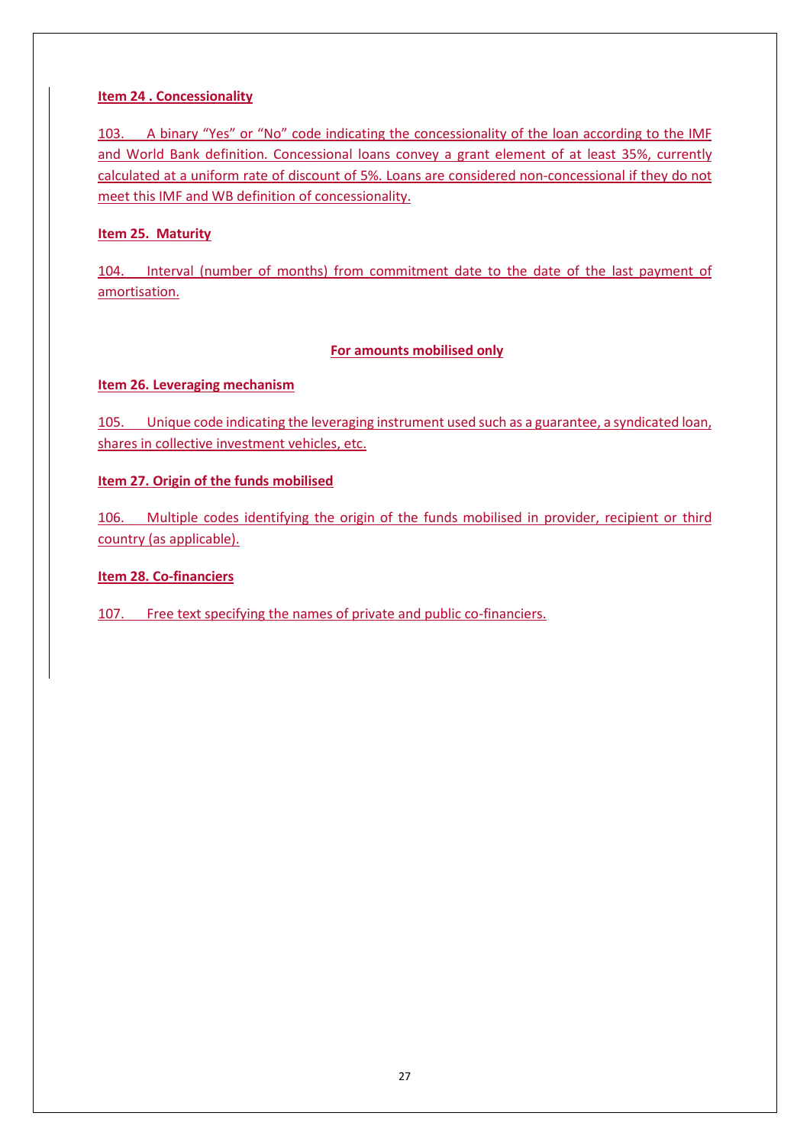## **Item 24 . Concessionality**

103. A binary "Yes" or "No" code indicating the concessionality of the loan according to the IMF and World Bank definition. Concessional loans convey a grant element of at least 35%, currently calculated at a uniform rate of discount of 5%. Loans are considered non-concessional if they do not meet this IMF and WB definition of concessionality.

## **Item 25. Maturity**

104. Interval (number of months) from commitment date to the date of the last payment of amortisation.

## **For amounts mobilised only**

## **Item 26. Leveraging mechanism**

105. Unique code indicating the leveraging instrument used such as a guarantee, a syndicated loan, shares in collective investment vehicles, etc.

## **Item 27. Origin of the funds mobilised**

106. Multiple codes identifying the origin of the funds mobilised in provider, recipient or third country (as applicable).

## **Item 28. Co-financiers**

107. Free text specifying the names of private and public co-financiers.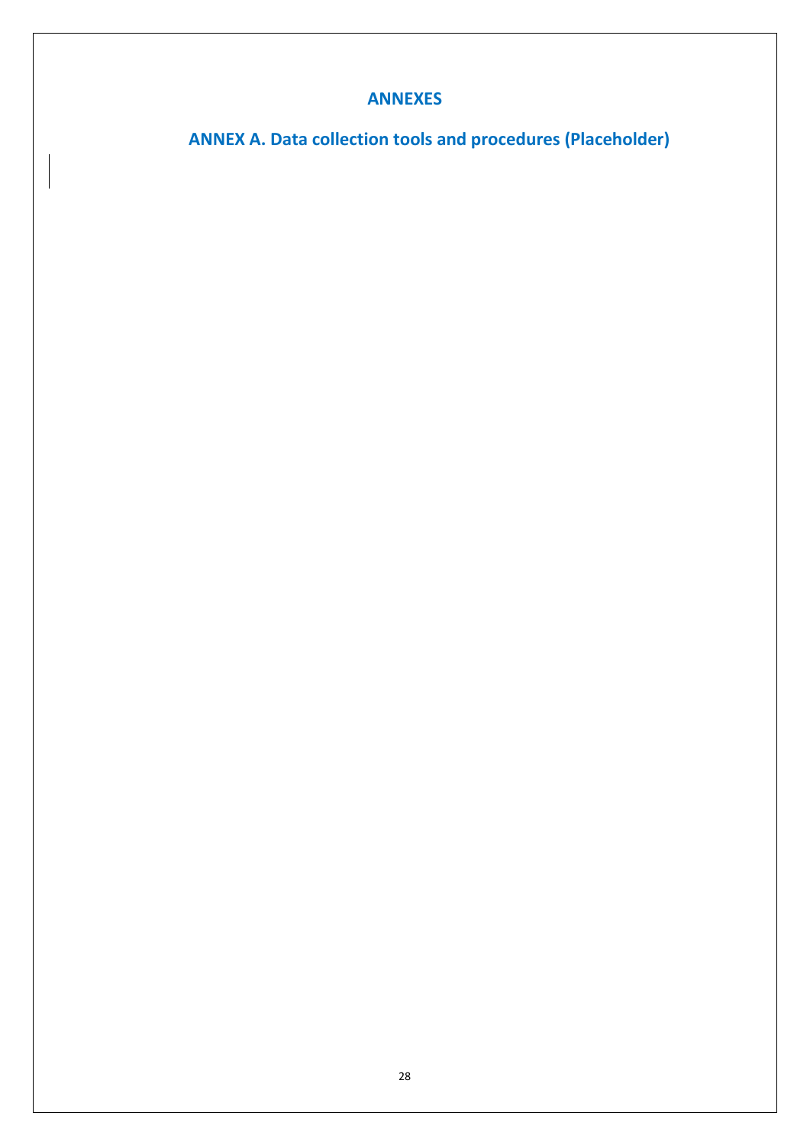## **ANNEXES**

**ANNEX A. Data collection tools and procedures (Placeholder)**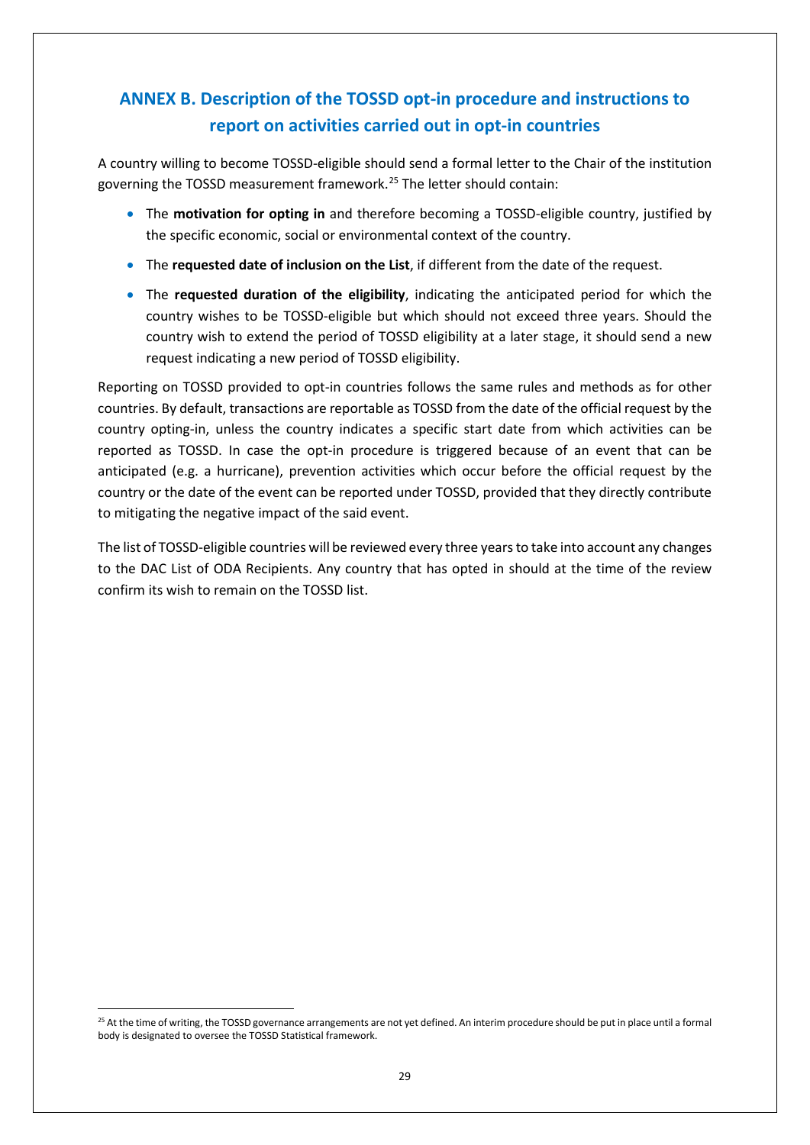# **ANNEX B. Description of the TOSSD opt-in procedure and instructions to report on activities carried out in opt-in countries**

A country willing to become TOSSD-eligible should send a formal letter to the Chair of the institution governing the TOSSD measurement framework.<sup>[25](#page-28-0)</sup> The letter should contain:

- The **motivation for opting in** and therefore becoming a TOSSD-eligible country, justified by the specific economic, social or environmental context of the country.
- The **requested date of inclusion on the List**, if different from the date of the request.
- The **requested duration of the eligibility**, indicating the anticipated period for which the country wishes to be TOSSD-eligible but which should not exceed three years. Should the country wish to extend the period of TOSSD eligibility at a later stage, it should send a new request indicating a new period of TOSSD eligibility.

Reporting on TOSSD provided to opt-in countries follows the same rules and methods as for other countries. By default, transactions are reportable as TOSSD from the date of the official request by the country opting-in, unless the country indicates a specific start date from which activities can be reported as TOSSD. In case the opt-in procedure is triggered because of an event that can be anticipated (e.g. a hurricane), prevention activities which occur before the official request by the country or the date of the event can be reported under TOSSD, provided that they directly contribute to mitigating the negative impact of the said event.

The list of TOSSD-eligible countries will be reviewed every three yearsto take into account any changes to the DAC List of ODA Recipients. Any country that has opted in should at the time of the review confirm its wish to remain on the TOSSD list.

<span id="page-28-0"></span><sup>&</sup>lt;sup>25</sup> At the time of writing, the TOSSD governance arrangements are not vet defined. An interim procedure should be put in place until a formal body is designated to oversee the TOSSD Statistical framework.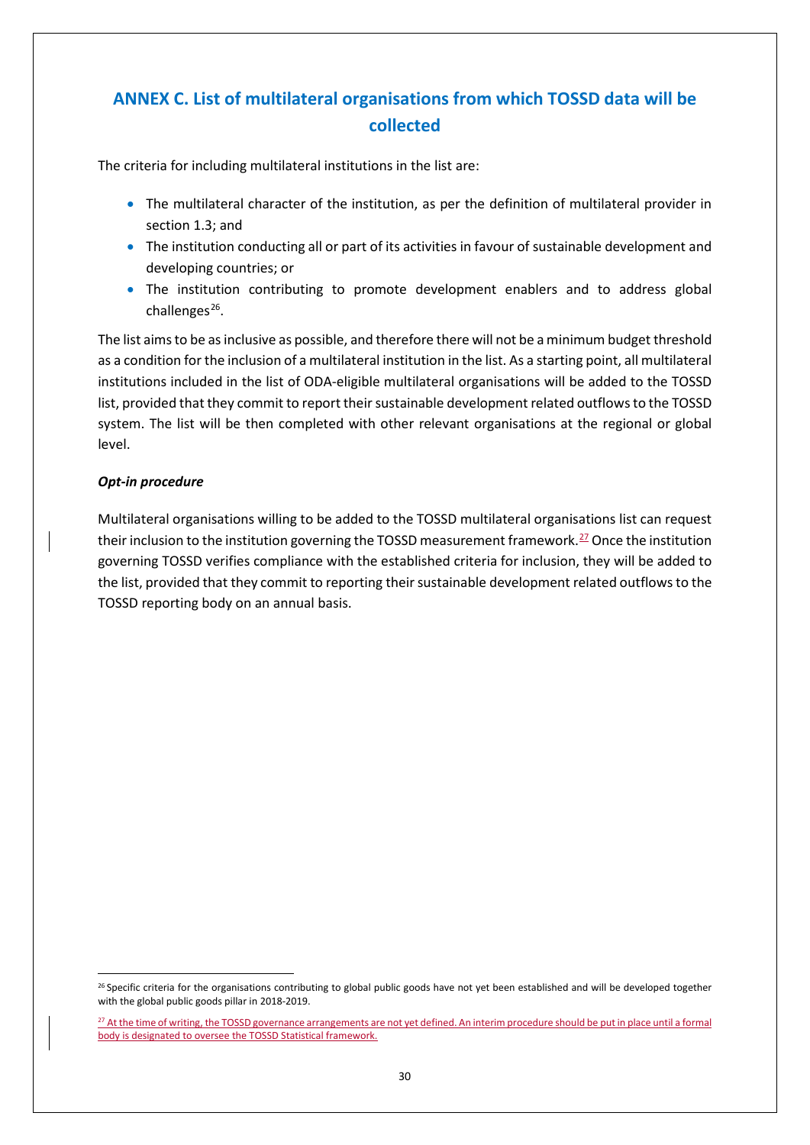# **ANNEX C. List of multilateral organisations from which TOSSD data will be collected**

The criteria for including multilateral institutions in the list are:

- The multilateral character of the institution, as per the definition of multilateral provider in section 1.3; and
- The institution conducting all or part of its activities in favour of sustainable development and developing countries; or
- The institution contributing to promote development enablers and to address global challenges $^{26}$ .

The list aims to be as inclusive as possible, and therefore there will not be a minimum budget threshold as a condition for the inclusion of a multilateral institution in the list. As a starting point, all multilateral institutions included in the list of ODA-eligible multilateral organisations will be added to the TOSSD list, provided that they commit to report their sustainable development related outflows to the TOSSD system. The list will be then completed with other relevant organisations at the regional or global level.

#### *Opt-in procedure*

Multilateral organisations willing to be added to the TOSSD multilateral organisations list can request their inclusion to the institution governing the TOSSD measurement framework.<sup>[27](#page-29-1)</sup> Once the institution governing TOSSD verifies compliance with the established criteria for inclusion, they will be added to the list, provided that they commit to reporting their sustainable development related outflows to the TOSSD reporting body on an annual basis.

<span id="page-29-0"></span><sup>&</sup>lt;sup>26</sup> Specific criteria for the organisations contributing to global public goods have not yet been established and will be developed together with the global public goods pillar in 2018-2019.

<span id="page-29-1"></span><sup>&</sup>lt;sup>27</sup> At the time of writing, the TOSSD governance arrangements are not yet defined. An interim procedure should be put in place until a formal body is designated to oversee the TOSSD Statistical framework.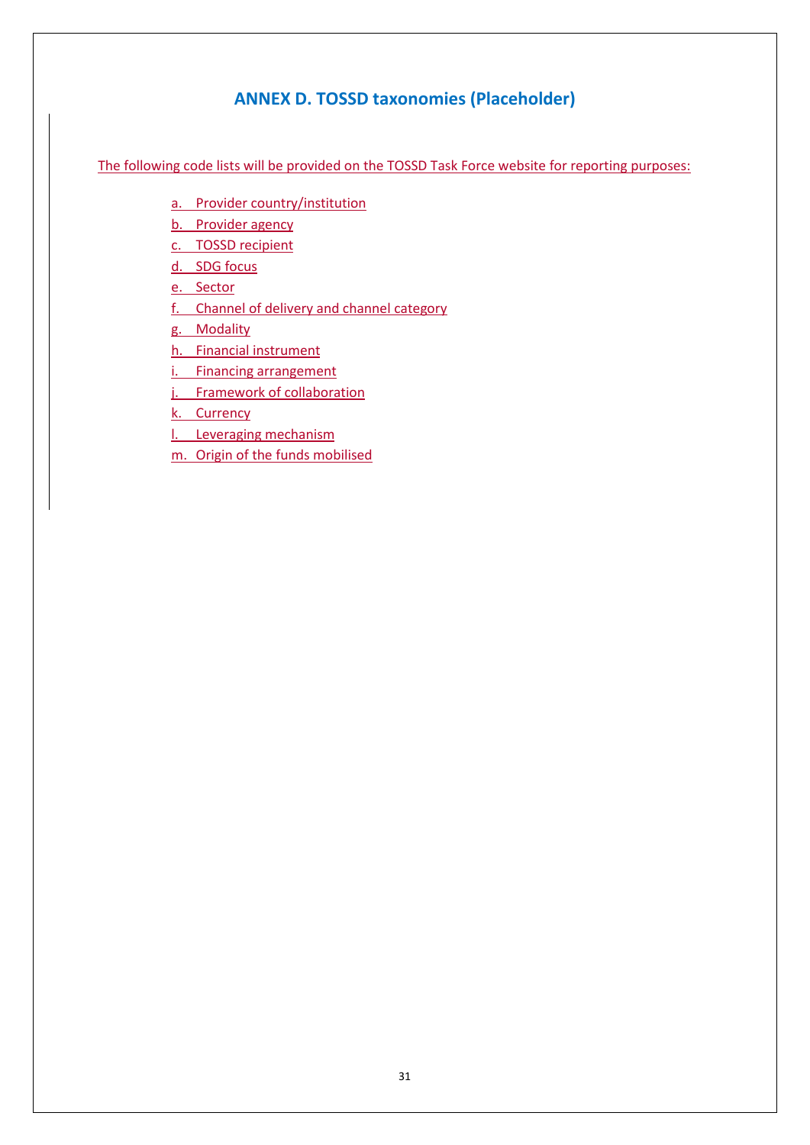## **ANNEX D. TOSSD taxonomies (Placeholder)**

The following code lists will be provided on the TOSSD Task Force website for reporting purposes:

- a. Provider country/institution
- b. Provider agency
- c. TOSSD recipient
- d. SDG focus
- e. Sector
- f. Channel of delivery and channel category
- g. Modality
- h. Financial instrument
- i. Financing arrangement
- j. Framework of collaboration
- k. Currency
- l. Leveraging mechanism
- m. Origin of the funds mobilised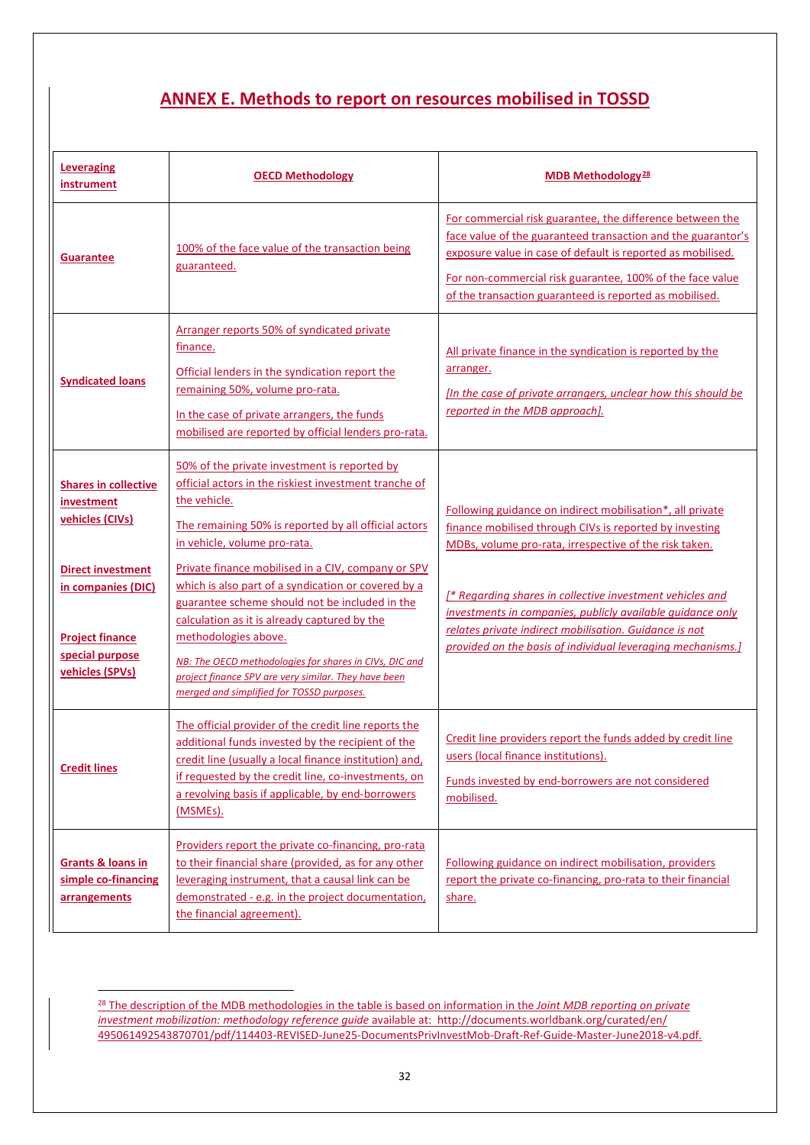## **ANNEX E. Methods to report on resources mobilised in TOSSD**

| <b>Leveraging</b><br>instrument                                                                                | <b>OECD Methodology</b>                                                                                                                                                                                                                                                                                                                                                                            | MDB Methodology <sup>28</sup>                                                                                                                                                                                                                                                                                    |
|----------------------------------------------------------------------------------------------------------------|----------------------------------------------------------------------------------------------------------------------------------------------------------------------------------------------------------------------------------------------------------------------------------------------------------------------------------------------------------------------------------------------------|------------------------------------------------------------------------------------------------------------------------------------------------------------------------------------------------------------------------------------------------------------------------------------------------------------------|
| <b>Guarantee</b>                                                                                               | 100% of the face value of the transaction being<br>guaranteed.                                                                                                                                                                                                                                                                                                                                     | For commercial risk guarantee, the difference between the<br>face value of the guaranteed transaction and the guarantor's<br>exposure value in case of default is reported as mobilised.<br>For non-commercial risk guarantee, 100% of the face value<br>of the transaction guaranteed is reported as mobilised. |
| <b>Syndicated loans</b>                                                                                        | Arranger reports 50% of syndicated private<br>finance.<br>Official lenders in the syndication report the<br>remaining 50%, volume pro-rata.<br>In the case of private arrangers, the funds<br>mobilised are reported by official lenders pro-rata.                                                                                                                                                 | All private finance in the syndication is reported by the<br>arranger.<br>[In the case of private arrangers, unclear how this should be<br>reported in the MDB approach].                                                                                                                                        |
| <b>Shares in collective</b><br>investment<br>vehicles (CIVs)                                                   | 50% of the private investment is reported by<br>official actors in the riskiest investment tranche of<br>the vehicle.<br>The remaining 50% is reported by all official actors<br>in vehicle, volume pro-rata.                                                                                                                                                                                      | Following guidance on indirect mobilisation*, all private<br>finance mobilised through CIVs is reported by investing<br>MDBs, volume pro-rata, irrespective of the risk taken.                                                                                                                                   |
| <b>Direct investment</b><br>in companies (DIC)<br><b>Project finance</b><br>special purpose<br>vehicles (SPVs) | Private finance mobilised in a CIV, company or SPV<br>which is also part of a syndication or covered by a<br>guarantee scheme should not be included in the<br>calculation as it is already captured by the<br>methodologies above.<br>NB: The OECD methodologies for shares in CIVs, DIC and<br>project finance SPV are very similar. They have been<br>merged and simplified for TOSSD purposes. | [* Regarding shares in collective investment vehicles and<br>investments in companies, publicly available guidance only<br>relates private indirect mobilisation. Guidance is not<br>provided on the basis of individual leveraging mechanisms.]                                                                 |
| <b>Credit lines</b>                                                                                            | The official provider of the credit line reports the<br>additional funds invested by the recipient of the<br>credit line (usually a local finance institution) and,<br>if requested by the credit line, co-investments, on<br>a revolving basis if applicable, by end-borrowers<br>(MSMEs).                                                                                                        | Credit line providers report the funds added by credit line<br>users (local finance institutions).<br>Funds invested by end-borrowers are not considered<br>mobilised.                                                                                                                                           |
| <b>Grants &amp; loans in</b><br>simple co-financing<br>arrangements                                            | Providers report the private co-financing, pro-rata<br>to their financial share (provided, as for any other<br>leveraging instrument, that a causal link can be<br>demonstrated - e.g. in the project documentation,<br>the financial agreement).                                                                                                                                                  | Following guidance on indirect mobilisation, providers<br>report the private co-financing, pro-rata to their financial<br>share.                                                                                                                                                                                 |

<span id="page-31-0"></span> <sup>28</sup> The description of the MDB methodologies in the table is based on information in the *Joint MDB reporting on private investment mobilization: methodology reference guide* available at: [http://documents.worldbank.org/curated/en/](http://documents.worldbank.org/curated/en/%0b495061492543870701/pdf/114403-REVISED-June25-DocumentsPrivInvestMob-Draft-Ref-Guide-Master-June2018-v4.pdf) [495061492543870701/pdf/114403-REVISED-June25-DocumentsPrivInvestMob-Draft-Ref-Guide-Master-June2018-v4.pdf.](http://documents.worldbank.org/curated/en/%0b495061492543870701/pdf/114403-REVISED-June25-DocumentsPrivInvestMob-Draft-Ref-Guide-Master-June2018-v4.pdf)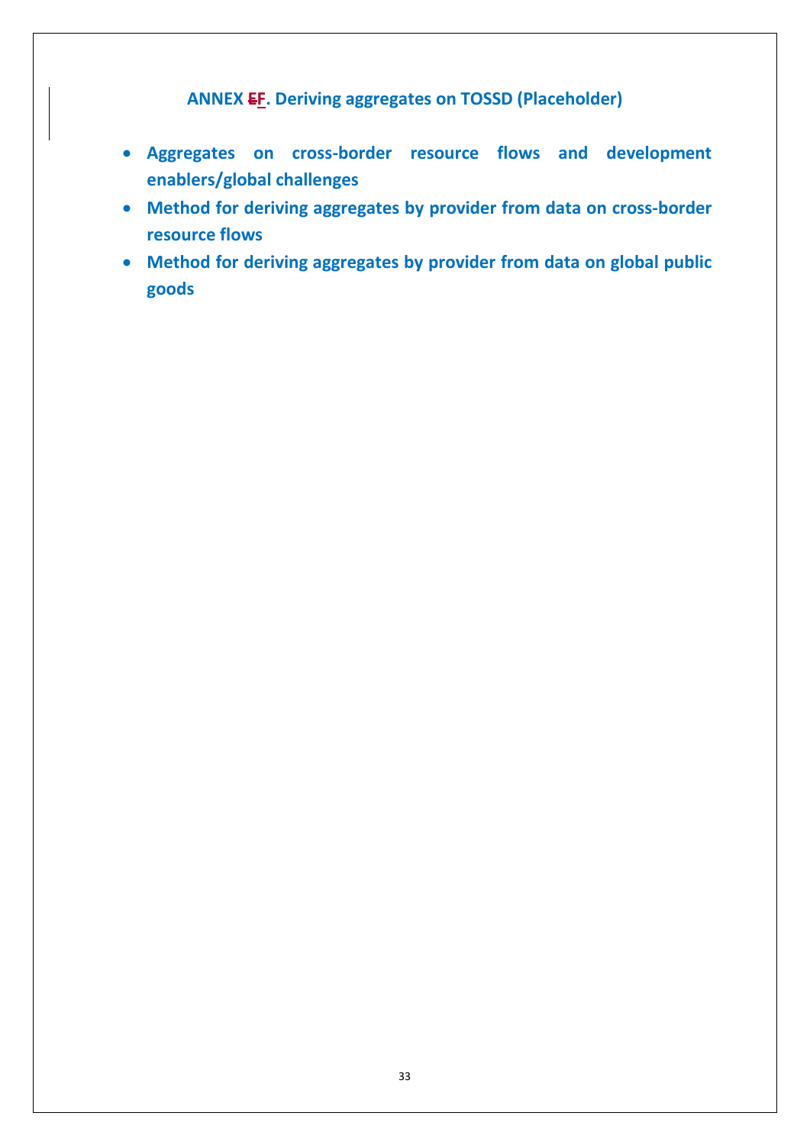## **ANNEX EF. Deriving aggregates on TOSSD (Placeholder)**

- **Aggregates on cross-border resource flows and development enablers/global challenges**
- **Method for deriving aggregates by provider from data on cross-border resource flows**
- **Method for deriving aggregates by provider from data on global public goods**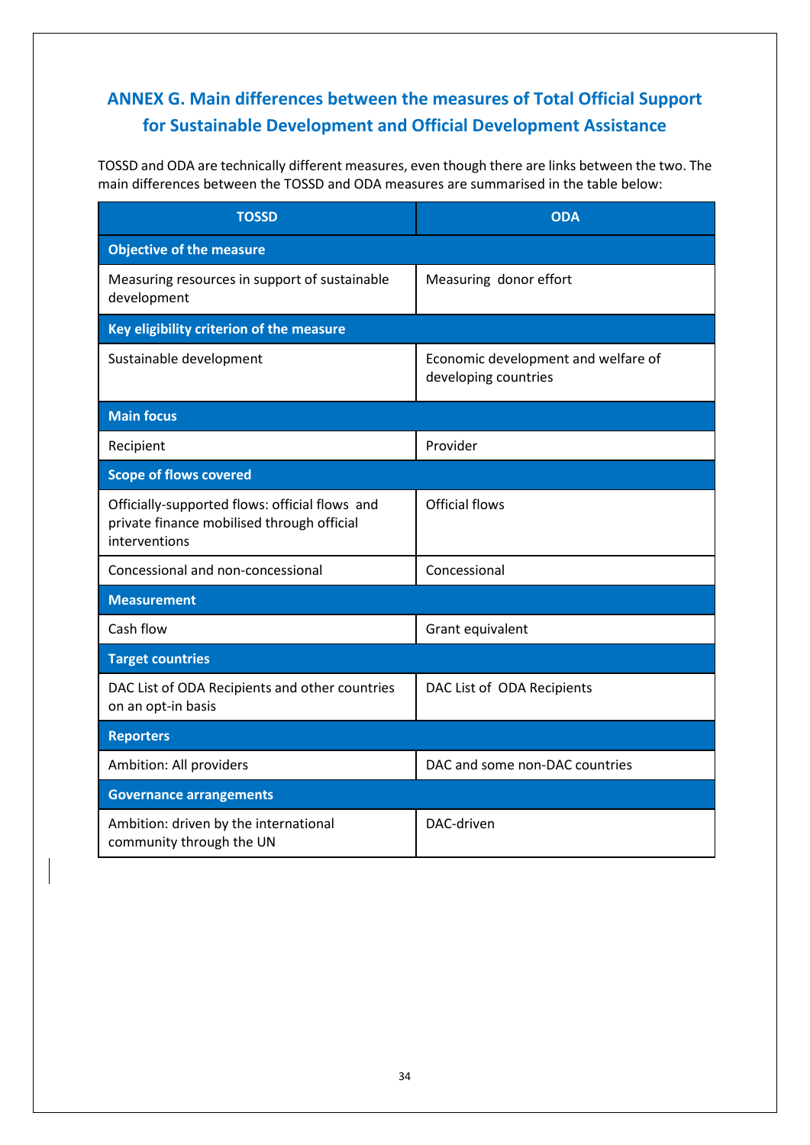# **ANNEX G. Main differences between the measures of Total Official Support for Sustainable Development and Official Development Assistance**

TOSSD and ODA are technically different measures, even though there are links between the two. The main differences between the TOSSD and ODA measures are summarised in the table below:

| <b>TOSSD</b>                                                                                                  | <b>ODA</b>                                                  |
|---------------------------------------------------------------------------------------------------------------|-------------------------------------------------------------|
| <b>Objective of the measure</b>                                                                               |                                                             |
| Measuring resources in support of sustainable<br>development                                                  | Measuring donor effort                                      |
| Key eligibility criterion of the measure                                                                      |                                                             |
| Sustainable development                                                                                       | Economic development and welfare of<br>developing countries |
| <b>Main focus</b>                                                                                             |                                                             |
| Recipient                                                                                                     | Provider                                                    |
| <b>Scope of flows covered</b>                                                                                 |                                                             |
| Officially-supported flows: official flows and<br>private finance mobilised through official<br>interventions | <b>Official flows</b>                                       |
| Concessional and non-concessional                                                                             | Concessional                                                |
| <b>Measurement</b>                                                                                            |                                                             |
| Cash flow                                                                                                     | Grant equivalent                                            |
| <b>Target countries</b>                                                                                       |                                                             |
| DAC List of ODA Recipients and other countries<br>on an opt-in basis                                          | DAC List of ODA Recipients                                  |
| <b>Reporters</b>                                                                                              |                                                             |
| Ambition: All providers                                                                                       | DAC and some non-DAC countries                              |
| <b>Governance arrangements</b>                                                                                |                                                             |
| Ambition: driven by the international<br>community through the UN                                             | DAC-driven                                                  |